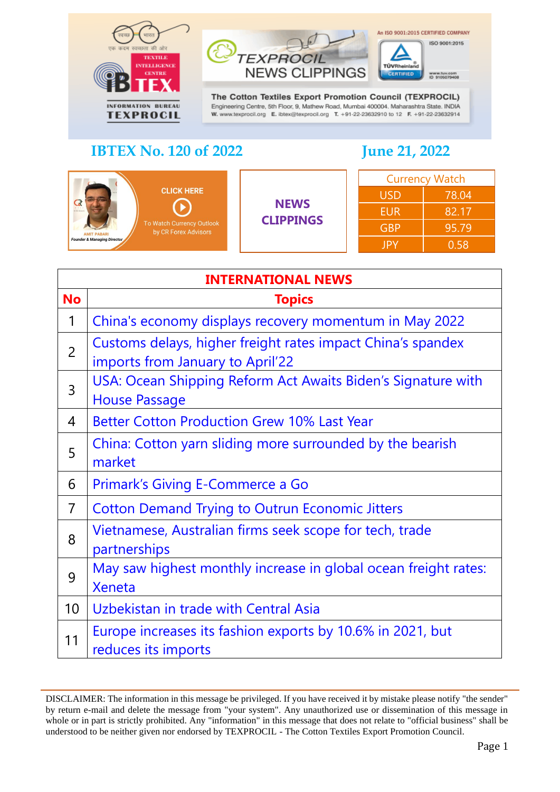



The Cotton Textiles Export Promotion Council (TEXPROCIL) Engineering Centre, 5th Floor, 9, Mathew Road, Mumbai 400004. Maharashtra State. INDIA W. www.texprocil.org E. ibtex@texprocil.org T. +91-22-23632910 to 12 F. +91-22-23632914

# **IBTEX No. 120 of 2022 June 21, 2022**

An ISO 9001:2015 CERTIFIED COMPANY

| <b>CLICK HERE</b><br><b>NEWS BALLYST</b><br>To Watch Currency Outlook<br>by CR Forex Advisors<br><b>AMIT PABARL</b> | <b>NEWS</b><br><b>CLIPPINGS</b> | <b>Currency Watch</b> |       |
|---------------------------------------------------------------------------------------------------------------------|---------------------------------|-----------------------|-------|
|                                                                                                                     |                                 | <b>USD</b>            | 78.04 |
|                                                                                                                     |                                 | <b>EUR</b>            | 82.17 |
|                                                                                                                     |                                 | 95.79<br><b>GBP</b>   |       |
| <b>Founder &amp; Managing Director</b>                                                                              | JPY                             | 0.58                  |       |

<span id="page-0-0"></span>

| <b>INTERNATIONAL NEWS</b> |                                                                                                 |  |
|---------------------------|-------------------------------------------------------------------------------------------------|--|
| <b>No</b>                 | <b>Topics</b>                                                                                   |  |
| 1                         | China's economy displays recovery momentum in May 2022                                          |  |
| $\overline{2}$            | Customs delays, higher freight rates impact China's spandex<br>imports from January to April'22 |  |
| 3                         | USA: Ocean Shipping Reform Act Awaits Biden's Signature with<br><b>House Passage</b>            |  |
| 4                         | <b>Better Cotton Production Grew 10% Last Year</b>                                              |  |
| 5                         | China: Cotton yarn sliding more surrounded by the bearish<br>market                             |  |
| 6                         | Primark's Giving E-Commerce a Go                                                                |  |
| $\overline{7}$            | <b>Cotton Demand Trying to Outrun Economic Jitters</b>                                          |  |
| 8                         | Vietnamese, Australian firms seek scope for tech, trade<br>partnerships                         |  |
| 9                         | May saw highest monthly increase in global ocean freight rates:<br><b>Xeneta</b>                |  |
| 10 <sup>°</sup>           | Uzbekistan in trade with Central Asia                                                           |  |
| 11                        | Europe increases its fashion exports by 10.6% in 2021, but<br>reduces its imports               |  |

DISCLAIMER: The information in this message be privileged. If you have received it by mistake please notify "the sender" by return e-mail and delete the message from "your system". Any unauthorized use or dissemination of this message in whole or in part is strictly prohibited. Any "information" in this message that does not relate to "official business" shall be understood to be neither given nor endorsed by TEXPROCIL - The Cotton Textiles Export Promotion Council.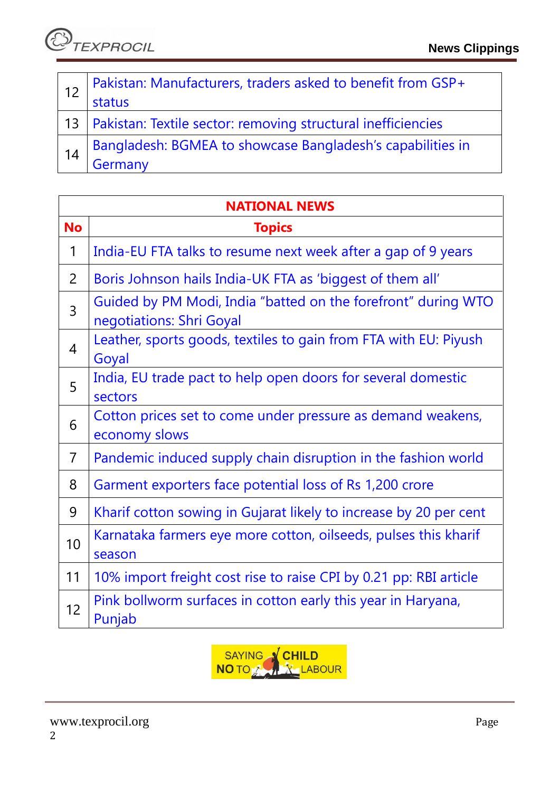*C***)**<br>TEXPROCIL

|    | Pakistan: Manufacturers, traders asked to benefit from GSP+<br>status |
|----|-----------------------------------------------------------------------|
|    | 13   Pakistan: Textile sector: removing structural inefficiencies     |
| 14 | Bangladesh: BGMEA to showcase Bangladesh's capabilities in<br>Germany |

| <b>NATIONAL NEWS</b> |                                                                                           |  |
|----------------------|-------------------------------------------------------------------------------------------|--|
| <b>No</b>            | <b>Topics</b>                                                                             |  |
| 1                    | India-EU FTA talks to resume next week after a gap of 9 years                             |  |
| $\overline{2}$       | Boris Johnson hails India-UK FTA as 'biggest of them all'                                 |  |
| $\overline{3}$       | Guided by PM Modi, India "batted on the forefront" during WTO<br>negotiations: Shri Goyal |  |
| $\overline{4}$       | Leather, sports goods, textiles to gain from FTA with EU: Piyush<br>Goyal                 |  |
| 5                    | India, EU trade pact to help open doors for several domestic<br>sectors                   |  |
| 6                    | Cotton prices set to come under pressure as demand weakens,<br>economy slows              |  |
| $\overline{7}$       | Pandemic induced supply chain disruption in the fashion world                             |  |
| 8                    | Garment exporters face potential loss of Rs 1,200 crore                                   |  |
| 9                    | Kharif cotton sowing in Gujarat likely to increase by 20 per cent                         |  |
| 10                   | Karnataka farmers eye more cotton, oilseeds, pulses this kharif<br>season                 |  |
| 11                   | 10% import freight cost rise to raise CPI by 0.21 pp: RBI article                         |  |
| 12                   | Pink bollworm surfaces in cotton early this year in Haryana,<br>Punjab                    |  |

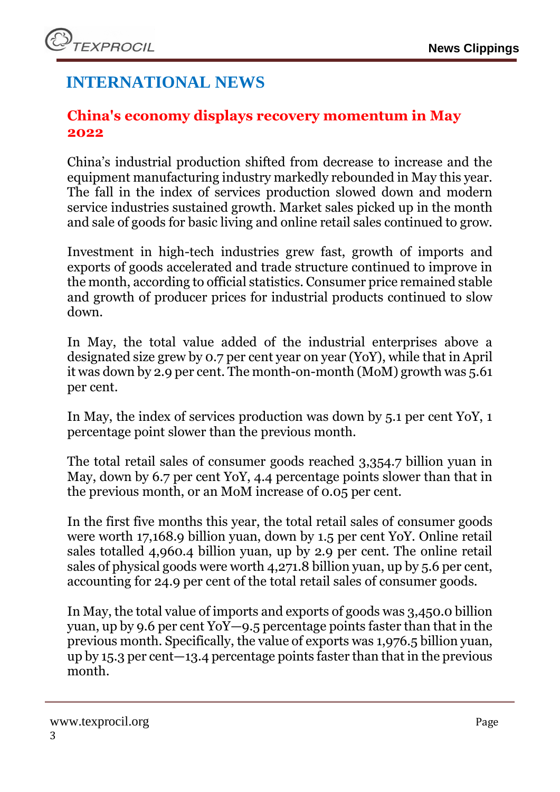# **INTERNATIONAL NEWS**

### <span id="page-2-0"></span>**China's economy displays recovery momentum in May 2022**

China's industrial production shifted from decrease to increase and the equipment manufacturing industry markedly rebounded in May this year. The fall in the index of services production slowed down and modern service industries sustained growth. Market sales picked up in the month and sale of goods for basic living and online retail sales continued to grow.

Investment in high-tech industries grew fast, growth of imports and exports of goods accelerated and trade structure continued to improve in the month, according to official statistics. Consumer price remained stable and growth of producer prices for industrial products continued to slow down.

In May, the total value added of the industrial enterprises above a designated size grew by 0.7 per cent year on year (YoY), while that in April it was down by 2.9 per cent. The month-on-month (MoM) growth was 5.61 per cent.

In May, the index of services production was down by 5.1 per cent YoY, 1 percentage point slower than the previous month.

The total retail sales of consumer goods reached 3,354.7 billion yuan in May, down by 6.7 per cent YoY, 4.4 percentage points slower than that in the previous month, or an MoM increase of 0.05 per cent.

In the first five months this year, the total retail sales of consumer goods were worth 17,168.9 billion yuan, down by 1.5 per cent YoY. Online retail sales totalled 4,960.4 billion yuan, up by 2.9 per cent. The online retail sales of physical goods were worth 4,271.8 billion yuan, up by 5.6 per cent, accounting for 24.9 per cent of the total retail sales of consumer goods.

In May, the total value of imports and exports of goods was 3,450.0 billion yuan, up by 9.6 per cent YoY—9.5 percentage points faster than that in the previous month. Specifically, the value of exports was 1,976.5 billion yuan, up by 15.3 per cent—13.4 percentage points faster than that in the previous month.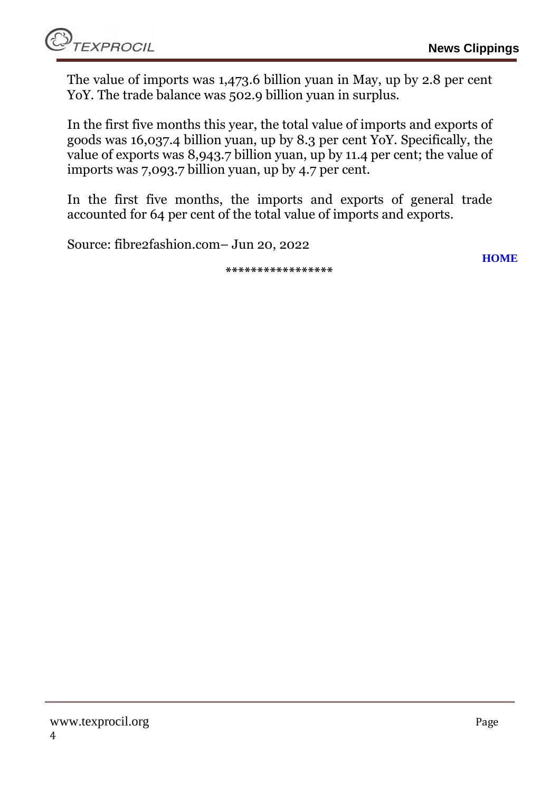**[HOME](#page-0-0)**

The value of imports was 1,473.6 billion yuan in May, up by 2.8 per cent YoY. The trade balance was 502.9 billion yuan in surplus.

In the first five months this year, the total value of imports and exports of goods was 16,037.4 billion yuan, up by 8.3 per cent YoY. Specifically, the value of exports was 8,943.7 billion yuan, up by 11.4 per cent; the value of imports was 7,093.7 billion yuan, up by 4.7 per cent.

In the first five months, the imports and exports of general trade accounted for 64 per cent of the total value of imports and exports.

Source: fibre2fashion.com– Jun 20, 2022

**\*\*\*\*\*\*\*\*\*\*\*\*\*\*\*\*\***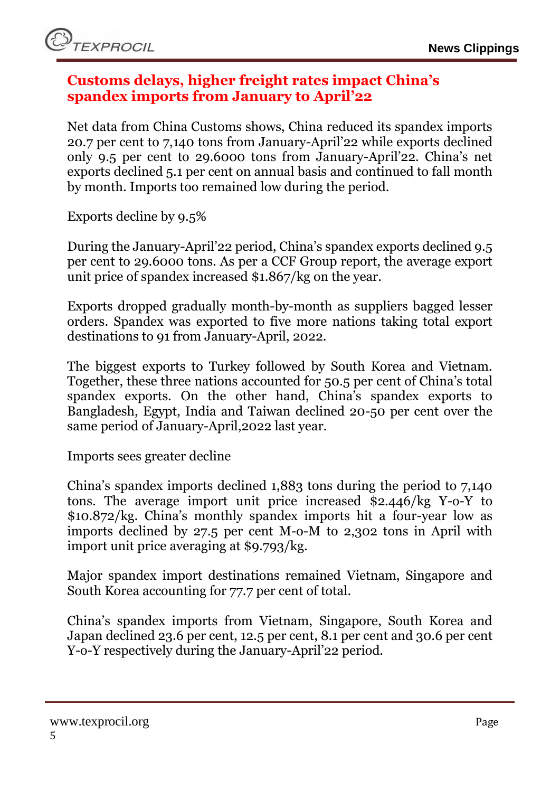### <span id="page-4-0"></span>**Customs delays, higher freight rates impact China's spandex imports from January to April'22**

Net data from China Customs shows, China reduced its spandex imports 20.7 per cent to 7,140 tons from January-April'22 while exports declined only 9.5 per cent to 29.6000 tons from January-April'22. China's net exports declined 5.1 per cent on annual basis and continued to fall month by month. Imports too remained low during the period.

Exports decline by 9.5%

During the January-April'22 period, China's spandex exports declined 9.5 per cent to 29.6000 tons. As per a CCF Group report, the average export unit price of spandex increased \$1.867/kg on the year.

Exports dropped gradually month-by-month as suppliers bagged lesser orders. Spandex was exported to five more nations taking total export destinations to 91 from January-April, 2022.

The biggest exports to Turkey followed by South Korea and Vietnam. Together, these three nations accounted for 50.5 per cent of China's total spandex exports. On the other hand, China's spandex exports to Bangladesh, Egypt, India and Taiwan declined 20-50 per cent over the same period of January-April,2022 last year.

Imports sees greater decline

China's spandex imports declined 1,883 tons during the period to 7,140 tons. The average import unit price increased \$2.446/kg Y-o-Y to \$10.872/kg. China's monthly spandex imports hit a four-year low as imports declined by 27.5 per cent M-o-M to 2,302 tons in April with import unit price averaging at \$9.793/kg.

Major spandex import destinations remained Vietnam, Singapore and South Korea accounting for 77.7 per cent of total.

China's spandex imports from Vietnam, Singapore, South Korea and Japan declined 23.6 per cent, 12.5 per cent, 8.1 per cent and 30.6 per cent Y-o-Y respectively during the January-April'22 period.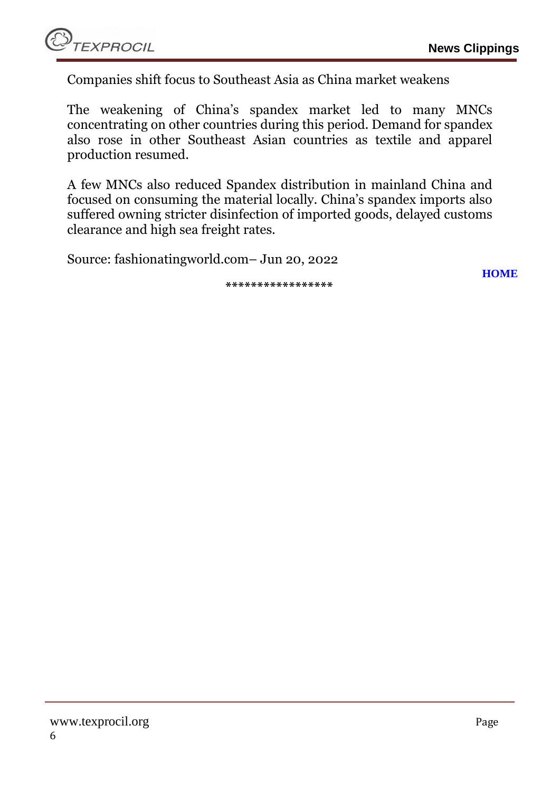

Companies shift focus to Southeast Asia as China market weakens

The weakening of China's spandex market led to many MNCs concentrating on other countries during this period. Demand for spandex also rose in other Southeast Asian countries as textile and apparel production resumed.

A few MNCs also reduced Spandex distribution in mainland China and focused on consuming the material locally. China's spandex imports also suffered owning stricter disinfection of imported goods, delayed customs clearance and high sea freight rates.

Source: fashionatingworld.com– Jun 20, 2022

**\*\*\*\*\*\*\*\*\*\*\*\*\*\*\*\*\***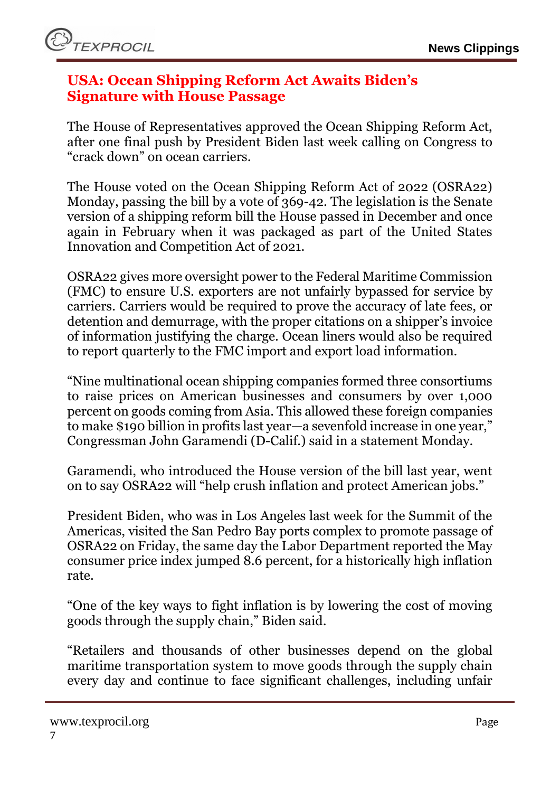### <span id="page-6-0"></span>**USA: Ocean Shipping Reform Act Awaits Biden's Signature with House Passage**

The House of Representatives approved the Ocean Shipping Reform Act, after one final push by President Biden last week calling on Congress to "crack down" on ocean carriers.

The House voted on the Ocean Shipping Reform Act of 2022 (OSRA22) Monday, passing the bill by a vote of 369-42. The legislation is the Senate version of a shipping reform bill the House passed in December and once again in February when it was packaged as part of the United States Innovation and Competition Act of 2021.

OSRA22 gives more oversight power to the Federal Maritime Commission (FMC) to ensure U.S. exporters are not unfairly bypassed for service by carriers. Carriers would be required to prove the accuracy of late fees, or detention and demurrage, with the proper citations on a shipper's invoice of information justifying the charge. Ocean liners would also be required to report quarterly to the FMC import and export load information.

"Nine multinational ocean shipping companies formed three consortiums to raise prices on American businesses and consumers by over 1,000 percent on goods coming from Asia. This allowed these foreign companies to make \$190 billion in profits last year—a sevenfold increase in one year," Congressman John Garamendi (D-Calif.) said in a statement Monday.

Garamendi, who introduced the House version of the bill last year, went on to say OSRA22 will "help crush inflation and protect American jobs."

President Biden, who was in Los Angeles last week for the Summit of the Americas, visited the San Pedro Bay ports complex to promote passage of OSRA22 on Friday, the same day the Labor Department reported the May consumer price index jumped 8.6 percent, for a historically high inflation rate.

"One of the key ways to fight inflation is by lowering the cost of moving goods through the supply chain," Biden said.

"Retailers and thousands of other businesses depend on the global maritime transportation system to move goods through the supply chain every day and continue to face significant challenges, including unfair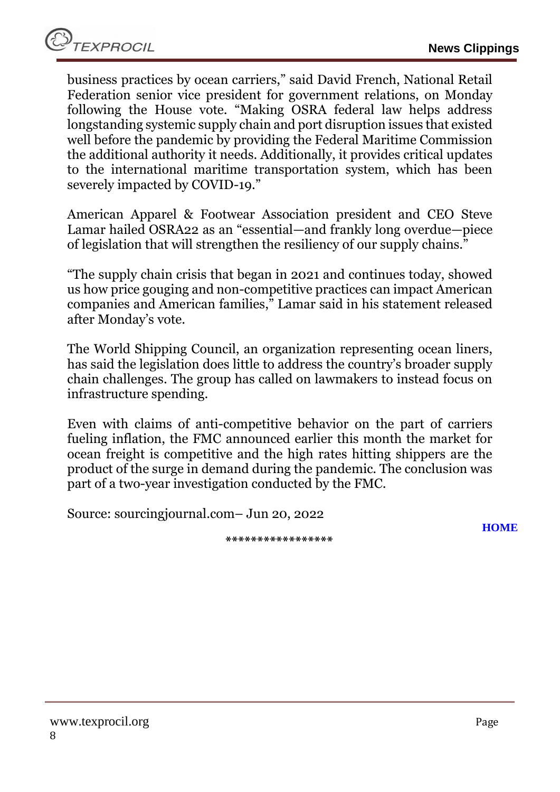business practices by ocean carriers," said David French, National Retail Federation senior vice president for government relations, on Monday following the House vote. "Making OSRA federal law helps address longstanding systemic supply chain and port disruption issues that existed well before the pandemic by providing the Federal Maritime Commission the additional authority it needs. Additionally, it provides critical updates to the international maritime transportation system, which has been severely impacted by COVID-19."

American Apparel & Footwear Association president and CEO Steve Lamar hailed OSRA22 as an "essential—and frankly long overdue—piece of legislation that will strengthen the resiliency of our supply chains."

"The supply chain crisis that began in 2021 and continues today, showed us how price gouging and non-competitive practices can impact American companies and American families," Lamar said in his statement released after Monday's vote.

The World Shipping Council, an organization representing ocean liners, has said the legislation does little to address the country's broader supply chain challenges. The group has called on lawmakers to instead focus on infrastructure spending.

Even with claims of anti-competitive behavior on the part of carriers fueling inflation, the FMC announced earlier this month the market for ocean freight is competitive and the high rates hitting shippers are the product of the surge in demand during the pandemic. The conclusion was part of a two-year investigation conducted by the FMC.

Source: sourcingjournal.com– Jun 20, 2022

**\*\*\*\*\*\*\*\*\*\*\*\*\*\*\*\*\***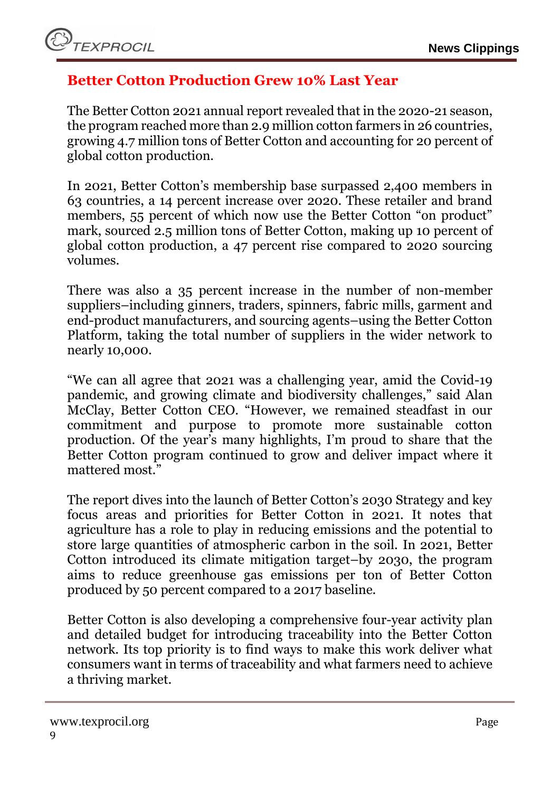# <span id="page-8-0"></span>**Better Cotton Production Grew 10% Last Year**

The Better Cotton 2021 annual report revealed that in the 2020-21 season, the program reached more than 2.9 million cotton farmers in 26 countries, growing 4.7 million tons of Better Cotton and accounting for 20 percent of global cotton production.

In 2021, Better Cotton's membership base surpassed 2,400 members in 63 countries, a 14 percent increase over 2020. These retailer and brand members, 55 percent of which now use the Better Cotton "on product" mark, sourced 2.5 million tons of Better Cotton, making up 10 percent of global cotton production, a 47 percent rise compared to 2020 sourcing volumes.

There was also a 35 percent increase in the number of non-member suppliers–including ginners, traders, spinners, fabric mills, garment and end-product manufacturers, and sourcing agents–using the Better Cotton Platform, taking the total number of suppliers in the wider network to nearly 10,000.

"We can all agree that 2021 was a challenging year, amid the Covid-19 pandemic, and growing climate and biodiversity challenges," said Alan McClay, Better Cotton CEO. "However, we remained steadfast in our commitment and purpose to promote more sustainable cotton production. Of the year's many highlights, I'm proud to share that the Better Cotton program continued to grow and deliver impact where it mattered most."

The report dives into the launch of Better Cotton's 2030 Strategy and key focus areas and priorities for Better Cotton in 2021. It notes that agriculture has a role to play in reducing emissions and the potential to store large quantities of atmospheric carbon in the soil. In 2021, Better Cotton introduced its climate mitigation target–by 2030, the program aims to reduce greenhouse gas emissions per ton of Better Cotton produced by 50 percent compared to a 2017 baseline.

Better Cotton is also developing a comprehensive four-year activity plan and detailed budget for introducing traceability into the Better Cotton network. Its top priority is to find ways to make this work deliver what consumers want in terms of traceability and what farmers need to achieve a thriving market.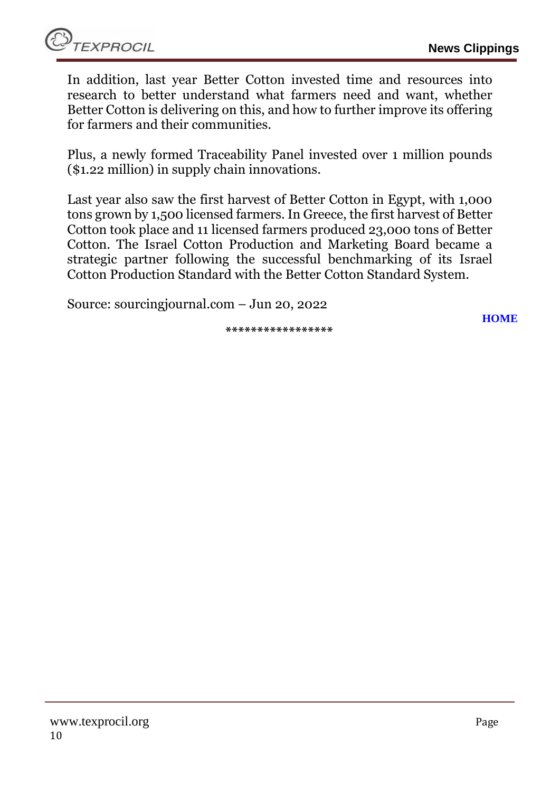In addition, last year Better Cotton invested time and resources into research to better understand what farmers need and want, whether Better Cotton is delivering on this, and how to further improve its offering for farmers and their communities.

Plus, a newly formed Traceability Panel invested over 1 million pounds (\$1.22 million) in supply chain innovations.

Last year also saw the first harvest of Better Cotton in Egypt, with 1,000 tons grown by 1,500 licensed farmers. In Greece, the first harvest of Better Cotton took place and 11 licensed farmers produced 23,000 tons of Better Cotton. The Israel Cotton Production and Marketing Board became a strategic partner following the successful benchmarking of its Israel Cotton Production Standard with the Better Cotton Standard System.

Source: sourcingjournal.com – Jun 20, 2022

**\*\*\*\*\*\*\*\*\*\*\*\*\*\*\*\*\***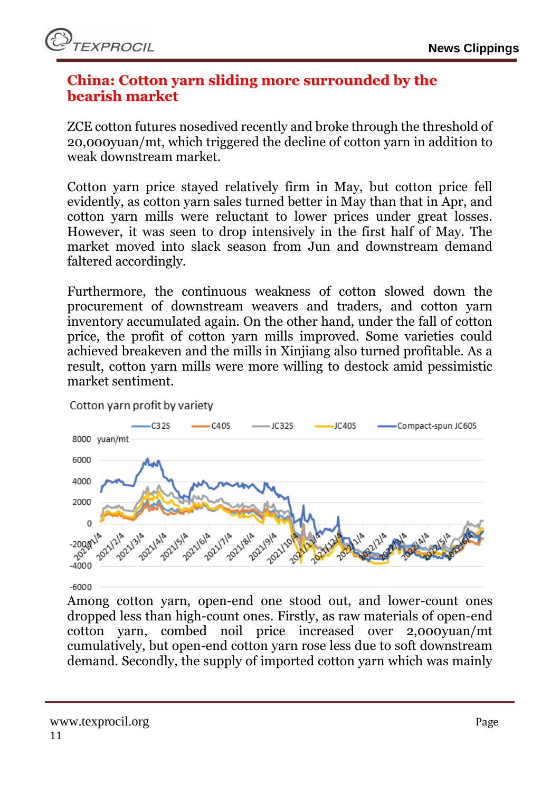

### <span id="page-10-0"></span>**China: Cotton yarn sliding more surrounded by the bearish market**

ZCE cotton futures nosedived recently and broke through the threshold of 20,000yuan/mt, which triggered the decline of cotton yarn in addition to weak downstream market.

Cotton yarn price stayed relatively firm in May, but cotton price fell evidently, as cotton yarn sales turned better in May than that in Apr, and cotton yarn mills were reluctant to lower prices under great losses. However, it was seen to drop intensively in the first half of May. The market moved into slack season from Jun and downstream demand faltered accordingly.

Furthermore, the continuous weakness of cotton slowed down the procurement of downstream weavers and traders, and cotton yarn inventory accumulated again. On the other hand, under the fall of cotton price, the profit of cotton yarn mills improved. Some varieties could achieved breakeven and the mills in Xinjiang also turned profitable. As a result, cotton yarn mills were more willing to destock amid pessimistic market sentiment.



Cotton yarn profit by variety

Among cotton yarn, open-end one stood out, and lower-count ones dropped less than high-count ones. Firstly, as raw materials of open-end cotton yarn, combed noil price increased over 2,000yuan/mt cumulatively, but open-end cotton yarn rose less due to soft downstream demand. Secondly, the supply of imported cotton yarn which was mainly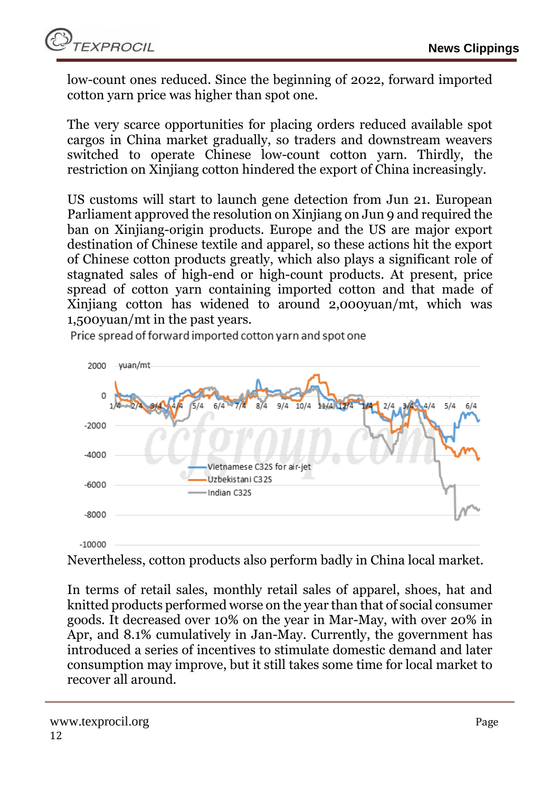low-count ones reduced. Since the beginning of 2022, forward imported cotton yarn price was higher than spot one.

The very scarce opportunities for placing orders reduced available spot cargos in China market gradually, so traders and downstream weavers switched to operate Chinese low-count cotton yarn. Thirdly, the restriction on Xinjiang cotton hindered the export of China increasingly.

US customs will start to launch gene detection from Jun 21. European Parliament approved the resolution on Xinjiang on Jun 9 and required the ban on Xinjiang-origin products. Europe and the US are major export destination of Chinese textile and apparel, so these actions hit the export of Chinese cotton products greatly, which also plays a significant role of stagnated sales of high-end or high-count products. At present, price spread of cotton yarn containing imported cotton and that made of Xinjiang cotton has widened to around 2,000yuan/mt, which was 1,500yuan/mt in the past years.

Price spread of forward imported cotton varn and spot one



Nevertheless, cotton products also perform badly in China local market.

In terms of retail sales, monthly retail sales of apparel, shoes, hat and knitted products performed worse on the year than that of social consumer goods. It decreased over 10% on the year in Mar-May, with over 20% in Apr, and 8.1% cumulatively in Jan-May. Currently, the government has introduced a series of incentives to stimulate domestic demand and later consumption may improve, but it still takes some time for local market to recover all around.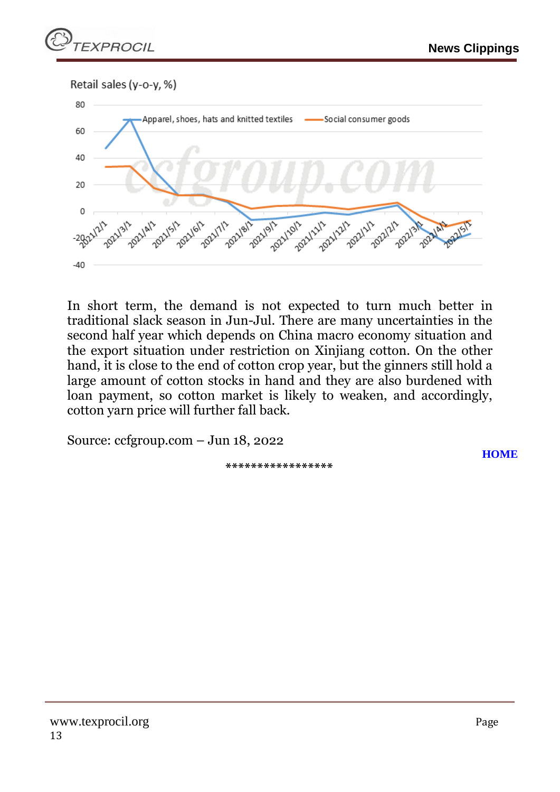Retail sales (y-o-y, %)



In short term, the demand is not expected to turn much better in traditional slack season in Jun-Jul. There are many uncertainties in the second half year which depends on China macro economy situation and the export situation under restriction on Xinjiang cotton. On the other hand, it is close to the end of cotton crop year, but the ginners still hold a large amount of cotton stocks in hand and they are also burdened with loan payment, so cotton market is likely to weaken, and accordingly, cotton yarn price will further fall back.

Source: ccfgroup.com – Jun 18, 2022

**\*\*\*\*\*\*\*\*\*\*\*\*\*\*\*\*\***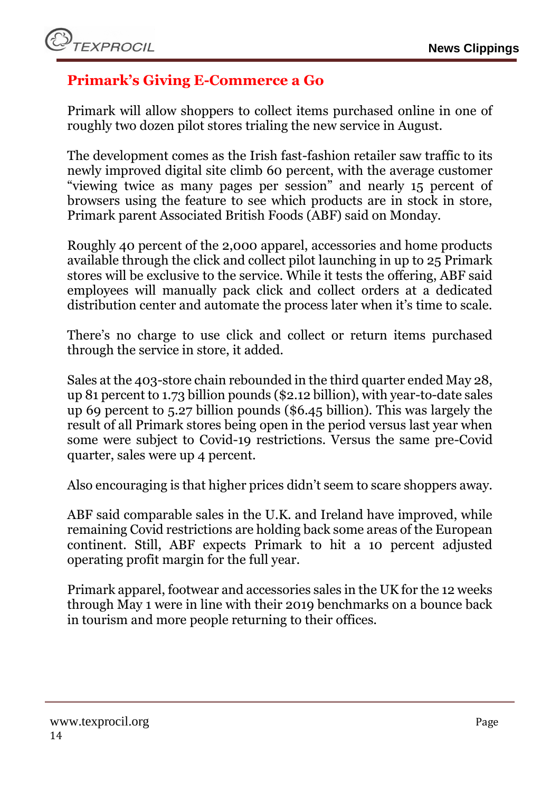# <span id="page-13-0"></span>**Primark's Giving E-Commerce a Go**

Primark will allow shoppers to collect items purchased online in one of roughly two dozen pilot stores trialing the new service in August.

The development comes as the Irish fast-fashion retailer saw traffic to its newly improved digital site climb 60 percent, with the average customer "viewing twice as many pages per session" and nearly 15 percent of browsers using the feature to see which products are in stock in store, Primark parent Associated British Foods (ABF) said on Monday.

Roughly 40 percent of the 2,000 apparel, accessories and home products available through the click and collect pilot launching in up to 25 Primark stores will be exclusive to the service. While it tests the offering, ABF said employees will manually pack click and collect orders at a dedicated distribution center and automate the process later when it's time to scale.

There's no charge to use click and collect or return items purchased through the service in store, it added.

Sales at the 403-store chain rebounded in the third quarter ended May 28, up 81 percent to 1.73 billion pounds (\$2.12 billion), with year-to-date sales up 69 percent to 5.27 billion pounds (\$6.45 billion). This was largely the result of all Primark stores being open in the period versus last year when some were subject to Covid-19 restrictions. Versus the same pre-Covid quarter, sales were up 4 percent.

Also encouraging is that higher prices didn't seem to scare shoppers away.

ABF said comparable sales in the U.K. and Ireland have improved, while remaining Covid restrictions are holding back some areas of the European continent. Still, ABF expects Primark to hit a 10 percent adjusted operating profit margin for the full year.

Primark apparel, footwear and accessories sales in the UK for the 12 weeks through May 1 were in line with their 2019 benchmarks on a bounce back in tourism and more people returning to their offices.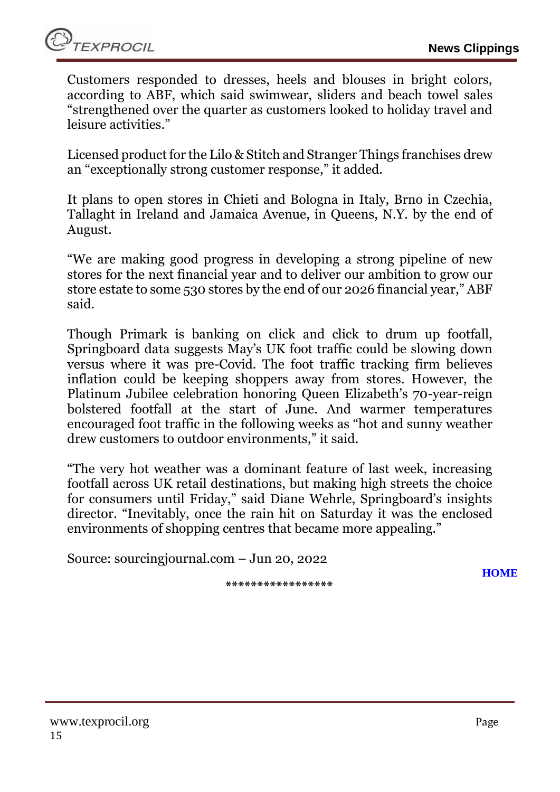Customers responded to dresses, heels and blouses in bright colors, according to ABF, which said swimwear, sliders and beach towel sales "strengthened over the quarter as customers looked to holiday travel and leisure activities."

Licensed product for the Lilo & Stitch and Stranger Things franchises drew an "exceptionally strong customer response," it added.

It plans to open stores in Chieti and Bologna in Italy, Brno in Czechia, Tallaght in Ireland and Jamaica Avenue, in Queens, N.Y. by the end of August.

"We are making good progress in developing a strong pipeline of new stores for the next financial year and to deliver our ambition to grow our store estate to some 530 stores by the end of our 2026 financial year," ABF said.

Though Primark is banking on click and click to drum up footfall, Springboard data suggests May's UK foot traffic could be slowing down versus where it was pre-Covid. The foot traffic tracking firm believes inflation could be keeping shoppers away from stores. However, the Platinum Jubilee celebration honoring Queen Elizabeth's 70-year-reign bolstered footfall at the start of June. And warmer temperatures encouraged foot traffic in the following weeks as "hot and sunny weather drew customers to outdoor environments," it said.

"The very hot weather was a dominant feature of last week, increasing footfall across UK retail destinations, but making high streets the choice for consumers until Friday," said Diane Wehrle, Springboard's insights director. "Inevitably, once the rain hit on Saturday it was the enclosed environments of shopping centres that became more appealing."

Source: sourcingjournal.com – Jun 20, 2022

**\*\*\*\*\*\*\*\*\*\*\*\*\*\*\*\*\***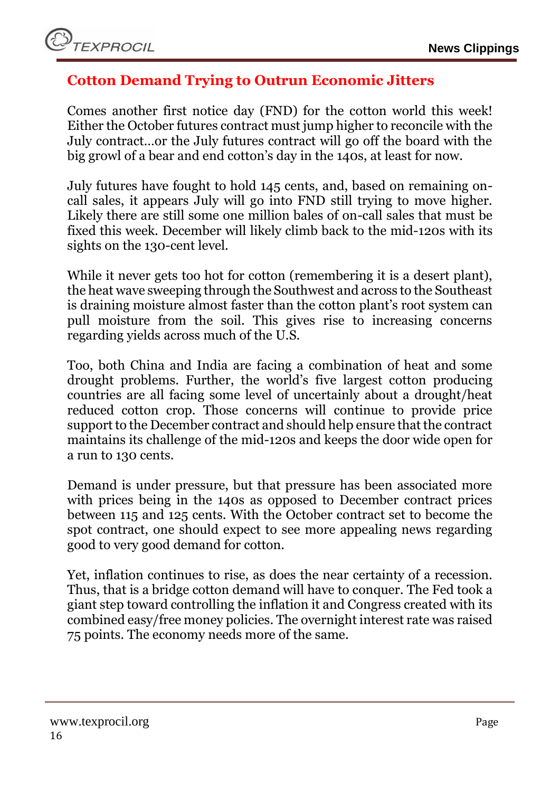# <span id="page-15-0"></span>**Cotton Demand Trying to Outrun Economic Jitters**

Comes another first notice day (FND) for the cotton world this week! Either the October futures contract must jump higher to reconcile with the July contract…or the July futures contract will go off the board with the big growl of a bear and end cotton's day in the 140s, at least for now.

July futures have fought to hold 145 cents, and, based on remaining oncall sales, it appears July will go into FND still trying to move higher. Likely there are still some one million bales of on-call sales that must be fixed this week. December will likely climb back to the mid-120s with its sights on the 130-cent level.

While it never gets too hot for cotton (remembering it is a desert plant), the heat wave sweeping through the Southwest and across to the Southeast is draining moisture almost faster than the cotton plant's root system can pull moisture from the soil. This gives rise to increasing concerns regarding yields across much of the U.S.

Too, both China and India are facing a combination of heat and some drought problems. Further, the world's five largest cotton producing countries are all facing some level of uncertainly about a drought/heat reduced cotton crop. Those concerns will continue to provide price support to the December contract and should help ensure that the contract maintains its challenge of the mid-120s and keeps the door wide open for a run to 130 cents.

Demand is under pressure, but that pressure has been associated more with prices being in the 140s as opposed to December contract prices between 115 and 125 cents. With the October contract set to become the spot contract, one should expect to see more appealing news regarding good to very good demand for cotton.

Yet, inflation continues to rise, as does the near certainty of a recession. Thus, that is a bridge cotton demand will have to conquer. The Fed took a giant step toward controlling the inflation it and Congress created with its combined easy/free money policies. The overnight interest rate was raised 75 points. The economy needs more of the same.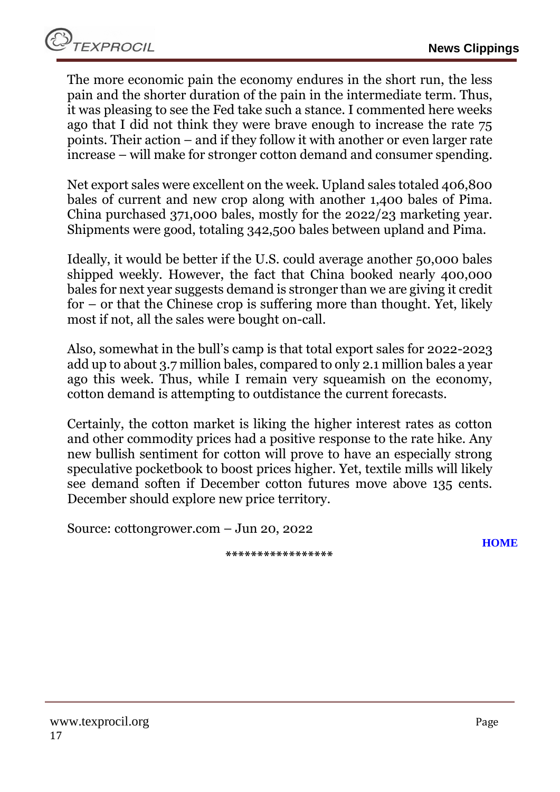The more economic pain the economy endures in the short run, the less pain and the shorter duration of the pain in the intermediate term. Thus, it was pleasing to see the Fed take such a stance. I commented here weeks ago that I did not think they were brave enough to increase the rate 75 points. Their action – and if they follow it with another or even larger rate increase – will make for stronger cotton demand and consumer spending.

Net export sales were excellent on the week. Upland sales totaled 406,800 bales of current and new crop along with another 1,400 bales of Pima. China purchased 371,000 bales, mostly for the 2022/23 marketing year. Shipments were good, totaling 342,500 bales between upland and Pima.

Ideally, it would be better if the U.S. could average another 50,000 bales shipped weekly. However, the fact that China booked nearly 400,000 bales for next year suggests demand is stronger than we are giving it credit for – or that the Chinese crop is suffering more than thought. Yet, likely most if not, all the sales were bought on-call.

Also, somewhat in the bull's camp is that total export sales for 2022-2023 add up to about 3.7 million bales, compared to only 2.1 million bales a year ago this week. Thus, while I remain very squeamish on the economy, cotton demand is attempting to outdistance the current forecasts.

Certainly, the cotton market is liking the higher interest rates as cotton and other commodity prices had a positive response to the rate hike. Any new bullish sentiment for cotton will prove to have an especially strong speculative pocketbook to boost prices higher. Yet, textile mills will likely see demand soften if December cotton futures move above 135 cents. December should explore new price territory.

Source: cottongrower.com – Jun 20, 2022

**\*\*\*\*\*\*\*\*\*\*\*\*\*\*\*\*\***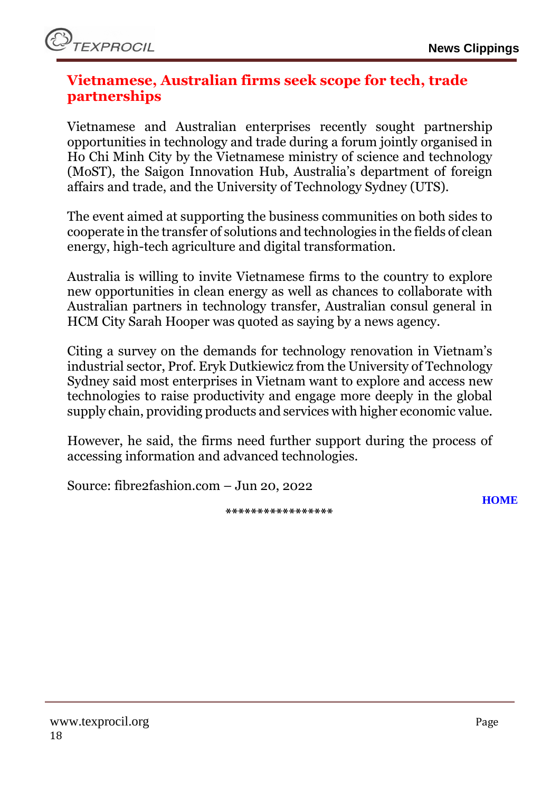### <span id="page-17-0"></span>**Vietnamese, Australian firms seek scope for tech, trade partnerships**

Vietnamese and Australian enterprises recently sought partnership opportunities in technology and trade during a forum jointly organised in Ho Chi Minh City by the Vietnamese ministry of science and technology (MoST), the Saigon Innovation Hub, Australia's department of foreign affairs and trade, and the University of Technology Sydney (UTS).

The event aimed at supporting the business communities on both sides to cooperate in the transfer of solutions and technologies in the fields of clean energy, high-tech agriculture and digital transformation.

Australia is willing to invite Vietnamese firms to the country to explore new opportunities in clean energy as well as chances to collaborate with Australian partners in technology transfer, Australian consul general in HCM City Sarah Hooper was quoted as saying by a news agency.

Citing a survey on the demands for technology renovation in Vietnam's industrial sector, Prof. Eryk Dutkiewicz from the University of Technology Sydney said most enterprises in Vietnam want to explore and access new technologies to raise productivity and engage more deeply in the global supply chain, providing products and services with higher economic value.

However, he said, the firms need further support during the process of accessing information and advanced technologies.

Source: fibre2fashion.com – Jun 20, 2022

**\*\*\*\*\*\*\*\*\*\*\*\*\*\*\*\*\***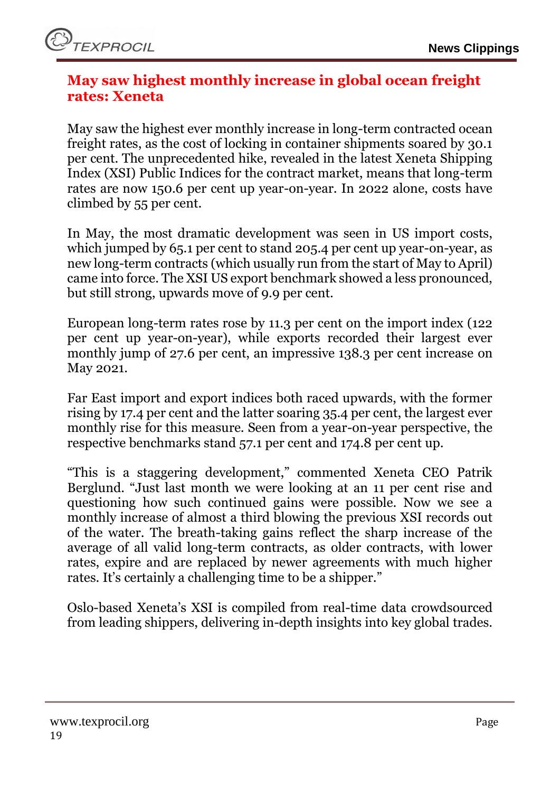### <span id="page-18-0"></span>**May saw highest monthly increase in global ocean freight rates: Xeneta**

May saw the highest ever monthly increase in long-term contracted ocean freight rates, as the cost of locking in container shipments soared by 30.1 per cent. The unprecedented hike, revealed in the latest Xeneta Shipping Index (XSI) Public Indices for the contract market, means that long-term rates are now 150.6 per cent up year-on-year. In 2022 alone, costs have climbed by 55 per cent.

In May, the most dramatic development was seen in US import costs, which jumped by 65.1 per cent to stand 205.4 per cent up year-on-year, as new long-term contracts (which usually run from the start of May to April) came into force. The XSI US export benchmark showed a less pronounced, but still strong, upwards move of 9.9 per cent.

European long-term rates rose by 11.3 per cent on the import index (122 per cent up year-on-year), while exports recorded their largest ever monthly jump of 27.6 per cent, an impressive 138.3 per cent increase on May 2021.

Far East import and export indices both raced upwards, with the former rising by 17.4 per cent and the latter soaring 35.4 per cent, the largest ever monthly rise for this measure. Seen from a year-on-year perspective, the respective benchmarks stand 57.1 per cent and 174.8 per cent up.

"This is a staggering development," commented Xeneta CEO Patrik Berglund. "Just last month we were looking at an 11 per cent rise and questioning how such continued gains were possible. Now we see a monthly increase of almost a third blowing the previous XSI records out of the water. The breath-taking gains reflect the sharp increase of the average of all valid long-term contracts, as older contracts, with lower rates, expire and are replaced by newer agreements with much higher rates. It's certainly a challenging time to be a shipper."

Oslo-based Xeneta's XSI is compiled from real-time data crowdsourced from leading shippers, delivering in-depth insights into key global trades.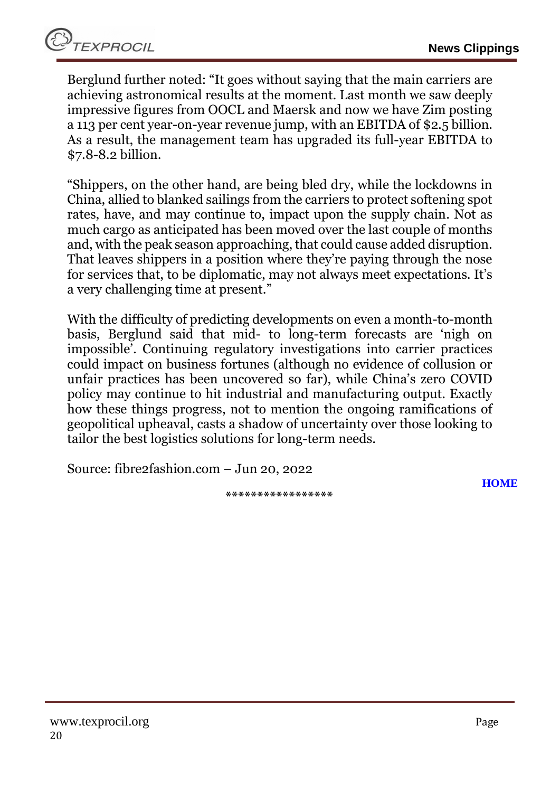**TEXPROCIL** 

Berglund further noted: "It goes without saying that the main carriers are achieving astronomical results at the moment. Last month we saw deeply impressive figures from OOCL and Maersk and now we have Zim posting a 113 per cent year-on-year revenue jump, with an EBITDA of \$2.5 billion. As a result, the management team has upgraded its full-year EBITDA to \$7.8-8.2 billion.

"Shippers, on the other hand, are being bled dry, while the lockdowns in China, allied to blanked sailings from the carriers to protect softening spot rates, have, and may continue to, impact upon the supply chain. Not as much cargo as anticipated has been moved over the last couple of months and, with the peak season approaching, that could cause added disruption. That leaves shippers in a position where they're paying through the nose for services that, to be diplomatic, may not always meet expectations. It's a very challenging time at present."

With the difficulty of predicting developments on even a month-to-month basis, Berglund said that mid- to long-term forecasts are 'nigh on impossible'. Continuing regulatory investigations into carrier practices could impact on business fortunes (although no evidence of collusion or unfair practices has been uncovered so far), while China's zero COVID policy may continue to hit industrial and manufacturing output. Exactly how these things progress, not to mention the ongoing ramifications of geopolitical upheaval, casts a shadow of uncertainty over those looking to tailor the best logistics solutions for long-term needs.

Source: fibre2fashion.com – Jun 20, 2022

**\*\*\*\*\*\*\*\*\*\*\*\*\*\*\*\*\***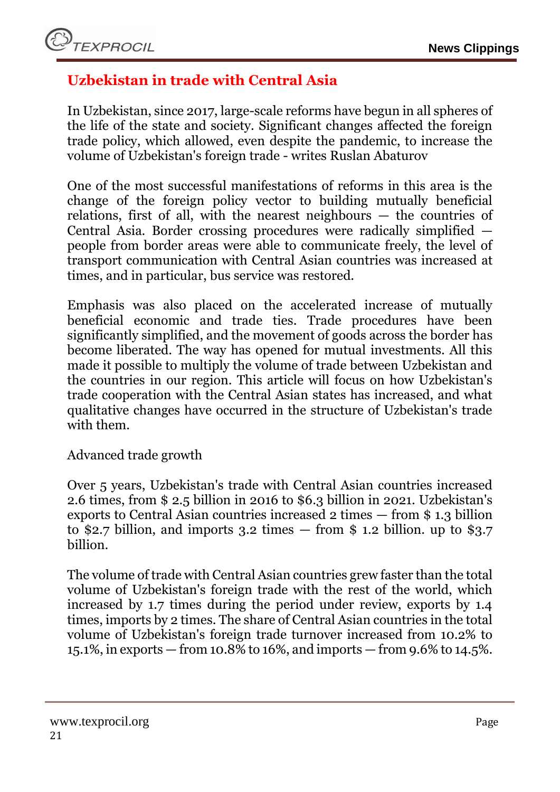# <span id="page-20-0"></span>**Uzbekistan in trade with Central Asia**

In Uzbekistan, since 2017, large-scale reforms have begun in all spheres of the life of the state and society. Significant changes affected the foreign trade policy, which allowed, even despite the pandemic, to increase the volume of Uzbekistan's foreign trade - writes Ruslan Abaturov

One of the most successful manifestations of reforms in this area is the change of the foreign policy vector to building mutually beneficial relations, first of all, with the nearest neighbours — the countries of Central Asia. Border crossing procedures were radically simplified people from border areas were able to communicate freely, the level of transport communication with Central Asian countries was increased at times, and in particular, bus service was restored.

Emphasis was also placed on the accelerated increase of mutually beneficial economic and trade ties. Trade procedures have been significantly simplified, and the movement of goods across the border has become liberated. The way has opened for mutual investments. All this made it possible to multiply the volume of trade between Uzbekistan and the countries in our region. This article will focus on how Uzbekistan's trade cooperation with the Central Asian states has increased, and what qualitative changes have occurred in the structure of Uzbekistan's trade with them.

Advanced trade growth

Over 5 years, Uzbekistan's trade with Central Asian countries increased 2.6 times, from \$ 2.5 billion in 2016 to \$6.3 billion in 2021. Uzbekistan's exports to Central Asian countries increased 2 times — from \$ 1.3 billion to \$2.7 billion, and imports 3.2 times  $-$  from \$ 1.2 billion. up to \$3.7 billion.

The volume of trade with Central Asian countries grew faster than the total volume of Uzbekistan's foreign trade with the rest of the world, which increased by 1.7 times during the period under review, exports by 1.4 times, imports by 2 times. The share of Central Asian countries in the total volume of Uzbekistan's foreign trade turnover increased from 10.2% to 15.1%, in exports — from 10.8% to 16%, and imports — from 9.6% to 14.5%.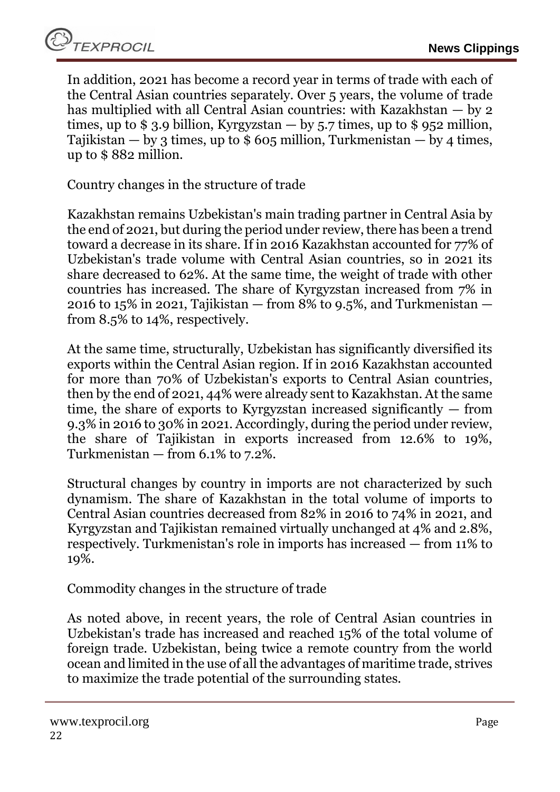In addition, 2021 has become a record year in terms of trade with each of the Central Asian countries separately. Over 5 years, the volume of trade has multiplied with all Central Asian countries: with Kazakhstan — by 2 times, up to  $$ 3.9$  billion, Kyrgyzstan  $-$  by 5.7 times, up to  $$ 952$  million, Tajikistan — by 3 times, up to  $$605$  million, Turkmenistan — by 4 times, up to \$ 882 million.

Country changes in the structure of trade

Kazakhstan remains Uzbekistan's main trading partner in Central Asia by the end of 2021, but during the period under review, there has been a trend toward a decrease in its share. If in 2016 Kazakhstan accounted for 77% of Uzbekistan's trade volume with Central Asian countries, so in 2021 its share decreased to 62%. At the same time, the weight of trade with other countries has increased. The share of Kyrgyzstan increased from 7% in 2016 to 15% in 2021, Tajikistan  $-$  from 8% to 9.5%, and Turkmenistan  $$ from 8.5% to 14%, respectively.

At the same time, structurally, Uzbekistan has significantly diversified its exports within the Central Asian region. If in 2016 Kazakhstan accounted for more than 70% of Uzbekistan's exports to Central Asian countries, then by the end of 2021, 44% were already sent to Kazakhstan. At the same time, the share of exports to Kyrgyzstan increased significantly — from 9.3% in 2016 to 30% in 2021. Accordingly, during the period under review, the share of Tajikistan in exports increased from 12.6% to 19%, Turkmenistan — from 6.1% to 7.2%.

Structural changes by country in imports are not characterized by such dynamism. The share of Kazakhstan in the total volume of imports to Central Asian countries decreased from 82% in 2016 to 74% in 2021, and Kyrgyzstan and Tajikistan remained virtually unchanged at 4% and 2.8%, respectively. Turkmenistan's role in imports has increased — from 11% to 19%.

Commodity changes in the structure of trade

As noted above, in recent years, the role of Central Asian countries in Uzbekistan's trade has increased and reached 15% of the total volume of foreign trade. Uzbekistan, being twice a remote country from the world ocean and limited in the use of all the advantages of maritime trade, strives to maximize the trade potential of the surrounding states.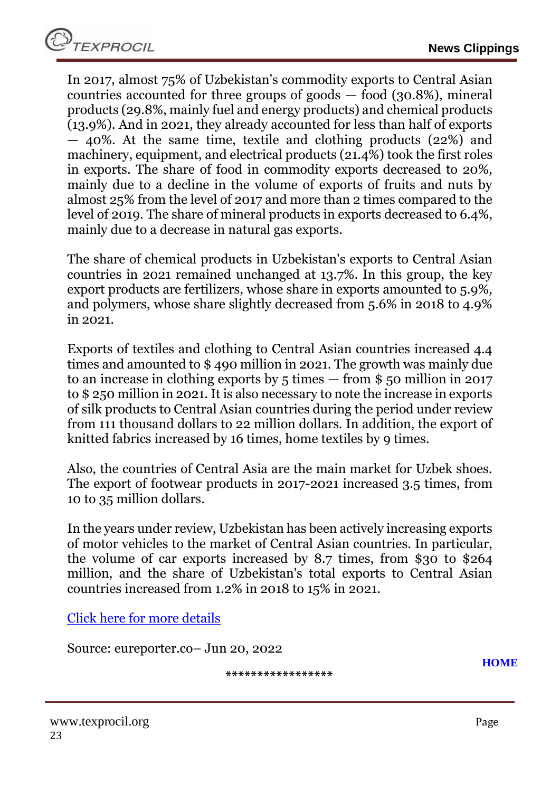In 2017, almost 75% of Uzbekistan's commodity exports to Central Asian countries accounted for three groups of goods  $-$  food (30.8%), mineral products (29.8%, mainly fuel and energy products) and chemical products (13.9%). And in 2021, they already accounted for less than half of exports — 40%. At the same time, textile and clothing products (22%) and machinery, equipment, and electrical products (21.4%) took the first roles in exports. The share of food in commodity exports decreased to 20%, mainly due to a decline in the volume of exports of fruits and nuts by almost 25% from the level of 2017 and more than 2 times compared to the level of 2019. The share of mineral products in exports decreased to 6.4%, mainly due to a decrease in natural gas exports.

The share of chemical products in Uzbekistan's exports to Central Asian countries in 2021 remained unchanged at 13.7%. In this group, the key export products are fertilizers, whose share in exports amounted to 5.9%, and polymers, whose share slightly decreased from 5.6% in 2018 to 4.9% in 2021.

Exports of textiles and clothing to Central Asian countries increased 4.4 times and amounted to \$ 490 million in 2021. The growth was mainly due to an increase in clothing exports by 5 times — from \$ 50 million in 2017 to \$ 250 million in 2021. It is also necessary to note the increase in exports of silk products to Central Asian countries during the period under review from 111 thousand dollars to 22 million dollars. In addition, the export of knitted fabrics increased by 16 times, home textiles by 9 times.

Also, the countries of Central Asia are the main market for Uzbek shoes. The export of footwear products in 2017-2021 increased 3.5 times, from 10 to 35 million dollars.

In the years under review, Uzbekistan has been actively increasing exports of motor vehicles to the market of Central Asian countries. In particular, the volume of car exports increased by 8.7 times, from \$30 to \$264 million, and the share of Uzbekistan's total exports to Central Asian countries increased from 1.2% in 2018 to 15% in 2021.

[Click here for more details](https://www.eureporter.co/world/uzbekistan/2022/06/20/uzbekistan-in-trade-with-central-asia/)

Source: eureporter.co– Jun 20, 2022

**\*\*\*\*\*\*\*\*\*\*\*\*\*\*\*\*\***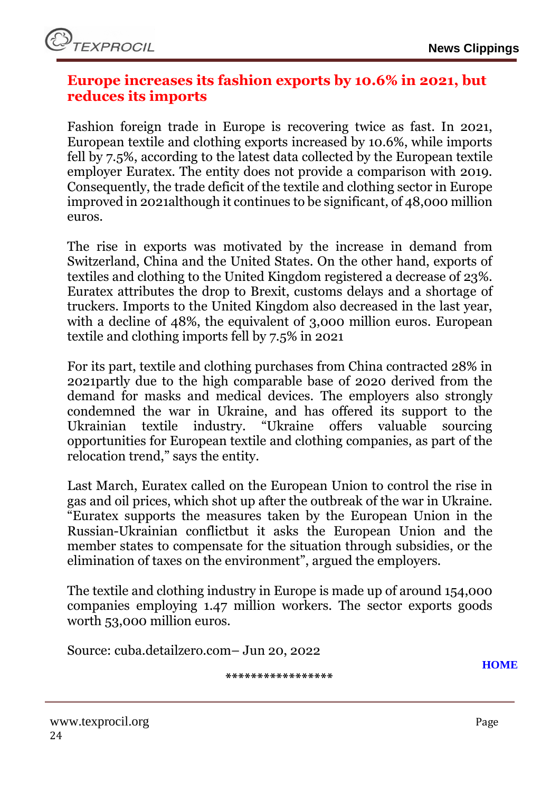### <span id="page-23-0"></span>**Europe increases its fashion exports by 10.6% in 2021, but reduces its imports**

Fashion foreign trade in Europe is recovering twice as fast. In 2021, European textile and clothing exports increased by 10.6%, while imports fell by 7.5%, according to the latest data collected by the European textile employer Euratex. The entity does not provide a comparison with 2019. Consequently, the trade deficit of the textile and clothing sector in Europe improved in 2021although it continues to be significant, of 48,000 million euros.

The rise in exports was motivated by the increase in demand from Switzerland, China and the United States. On the other hand, exports of textiles and clothing to the United Kingdom registered a decrease of 23%. Euratex attributes the drop to Brexit, customs delays and a shortage of truckers. Imports to the United Kingdom also decreased in the last year, with a decline of 48%, the equivalent of 3,000 million euros. European textile and clothing imports fell by 7.5% in 2021

For its part, textile and clothing purchases from China contracted 28% in 2021partly due to the high comparable base of 2020 derived from the demand for masks and medical devices. The employers also strongly condemned the war in Ukraine, and has offered its support to the Ukrainian textile industry. "Ukraine offers valuable sourcing opportunities for European textile and clothing companies, as part of the relocation trend," says the entity.

Last March, Euratex called on the European Union to control the rise in gas and oil prices, which shot up after the outbreak of the war in Ukraine. "Euratex supports the measures taken by the European Union in the Russian-Ukrainian conflictbut it asks the European Union and the member states to compensate for the situation through subsidies, or the elimination of taxes on the environment", argued the employers.

The textile and clothing industry in Europe is made up of around 154,000 companies employing 1.47 million workers. The sector exports goods worth 53,000 million euros.

Source: cuba.detailzero.com– Jun 20, 2022

**\*\*\*\*\*\*\*\*\*\*\*\*\*\*\*\*\***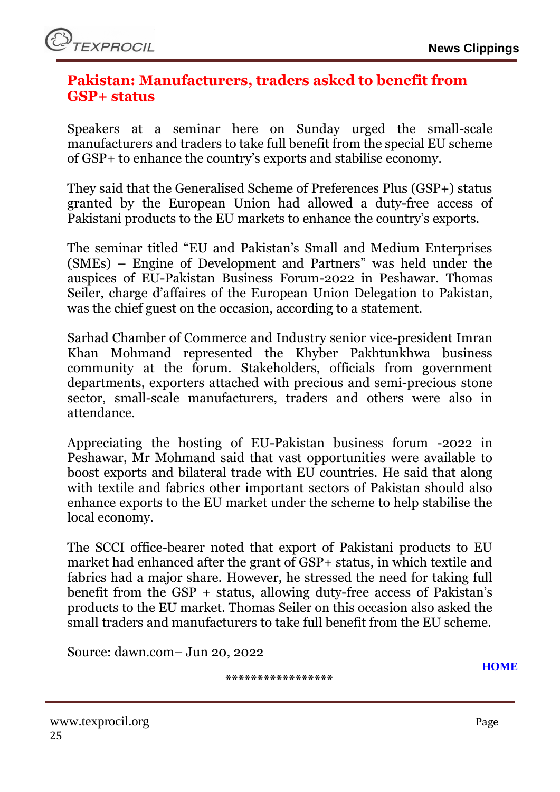### <span id="page-24-0"></span>**Pakistan: Manufacturers, traders asked to benefit from GSP+ status**

Speakers at a seminar here on Sunday urged the small-scale manufacturers and traders to take full benefit from the special EU scheme of GSP+ to enhance the country's exports and stabilise economy.

They said that the Generalised Scheme of Preferences Plus (GSP+) status granted by the European Union had allowed a duty-free access of Pakistani products to the EU markets to enhance the country's exports.

The seminar titled "EU and Pakistan's Small and Medium Enterprises (SMEs) – Engine of Development and Partners" was held under the auspices of EU-Pakistan Business Forum-2022 in Peshawar. Thomas Seiler, charge d'affaires of the European Union Delegation to Pakistan, was the chief guest on the occasion, according to a statement.

Sarhad Chamber of Commerce and Industry senior vice-president Imran Khan Mohmand represented the Khyber Pakhtunkhwa business community at the forum. Stakeholders, officials from government departments, exporters attached with precious and semi-precious stone sector, small-scale manufacturers, traders and others were also in attendance.

Appreciating the hosting of EU-Pakistan business forum -2022 in Peshawar, Mr Mohmand said that vast opportunities were available to boost exports and bilateral trade with EU countries. He said that along with textile and fabrics other important sectors of Pakistan should also enhance exports to the EU market under the scheme to help stabilise the local economy.

The SCCI office-bearer noted that export of Pakistani products to EU market had enhanced after the grant of GSP+ status, in which textile and fabrics had a major share. However, he stressed the need for taking full benefit from the GSP + status, allowing duty-free access of Pakistan's products to the EU market. Thomas Seiler on this occasion also asked the small traders and manufacturers to take full benefit from the EU scheme.

Source: dawn.com– Jun 20, 2022

**\*\*\*\*\*\*\*\*\*\*\*\*\*\*\*\*\***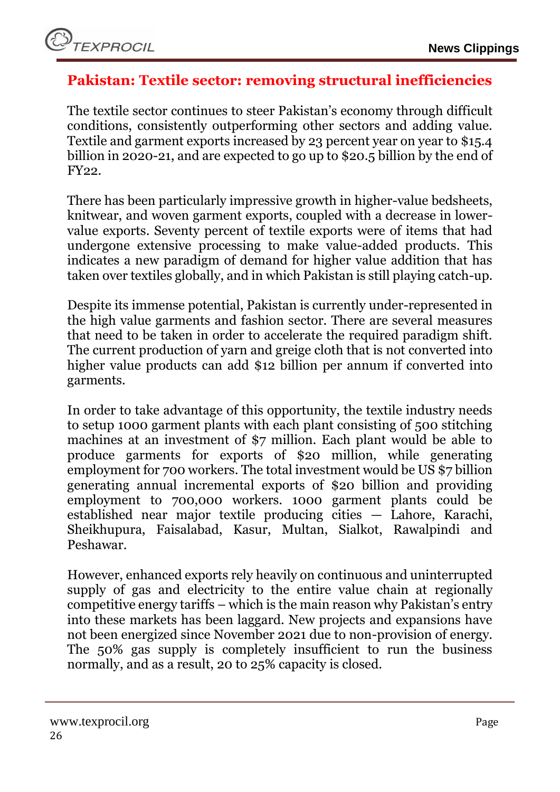# <span id="page-25-0"></span>**Pakistan: Textile sector: removing structural inefficiencies**

The textile sector continues to steer Pakistan's economy through difficult conditions, consistently outperforming other sectors and adding value. Textile and garment exports increased by 23 percent year on year to \$15.4 billion in 2020-21, and are expected to go up to \$20.5 billion by the end of FY22.

There has been particularly impressive growth in higher-value bedsheets, knitwear, and woven garment exports, coupled with a decrease in lowervalue exports. Seventy percent of textile exports were of items that had undergone extensive processing to make value-added products. This indicates a new paradigm of demand for higher value addition that has taken over textiles globally, and in which Pakistan is still playing catch-up.

Despite its immense potential, Pakistan is currently under-represented in the high value garments and fashion sector. There are several measures that need to be taken in order to accelerate the required paradigm shift. The current production of yarn and greige cloth that is not converted into higher value products can add \$12 billion per annum if converted into garments.

In order to take advantage of this opportunity, the textile industry needs to setup 1000 garment plants with each plant consisting of 500 stitching machines at an investment of \$7 million. Each plant would be able to produce garments for exports of \$20 million, while generating employment for 700 workers. The total investment would be US \$7 billion generating annual incremental exports of \$20 billion and providing employment to 700,000 workers. 1000 garment plants could be established near major textile producing cities — Lahore, Karachi, Sheikhupura, Faisalabad, Kasur, Multan, Sialkot, Rawalpindi and Peshawar.

However, enhanced exports rely heavily on continuous and uninterrupted supply of gas and electricity to the entire value chain at regionally competitive energy tariffs – which is the main reason why Pakistan's entry into these markets has been laggard. New projects and expansions have not been energized since November 2021 due to non-provision of energy. The 50% gas supply is completely insufficient to run the business normally, and as a result, 20 to 25% capacity is closed.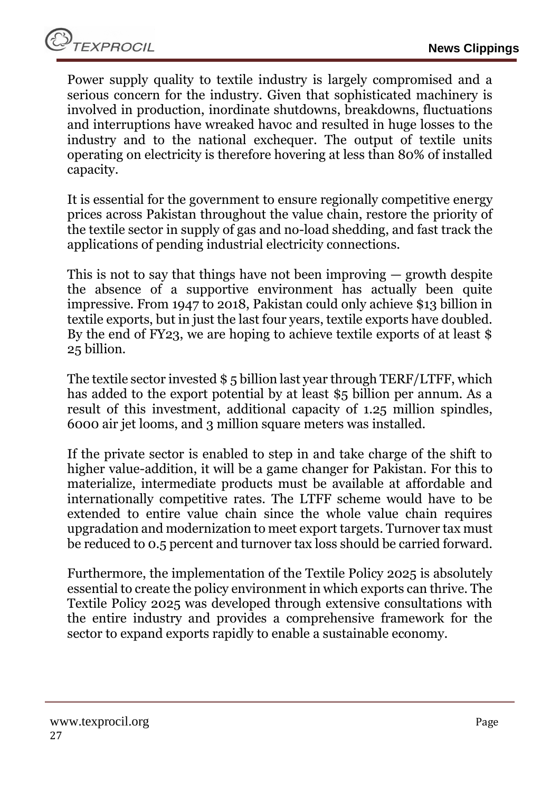Power supply quality to textile industry is largely compromised and a serious concern for the industry. Given that sophisticated machinery is involved in production, inordinate shutdowns, breakdowns, fluctuations and interruptions have wreaked havoc and resulted in huge losses to the industry and to the national exchequer. The output of textile units operating on electricity is therefore hovering at less than 80% of installed capacity.

It is essential for the government to ensure regionally competitive energy prices across Pakistan throughout the value chain, restore the priority of the textile sector in supply of gas and no-load shedding, and fast track the applications of pending industrial electricity connections.

This is not to say that things have not been improving — growth despite the absence of a supportive environment has actually been quite impressive. From 1947 to 2018, Pakistan could only achieve \$13 billion in textile exports, but in just the last four years, textile exports have doubled. By the end of FY23, we are hoping to achieve textile exports of at least \$ 25 billion.

The textile sector invested \$ 5 billion last year through TERF/LTFF, which has added to the export potential by at least \$5 billion per annum. As a result of this investment, additional capacity of 1.25 million spindles, 6000 air jet looms, and 3 million square meters was installed.

If the private sector is enabled to step in and take charge of the shift to higher value-addition, it will be a game changer for Pakistan. For this to materialize, intermediate products must be available at affordable and internationally competitive rates. The LTFF scheme would have to be extended to entire value chain since the whole value chain requires upgradation and modernization to meet export targets. Turnover tax must be reduced to 0.5 percent and turnover tax loss should be carried forward.

Furthermore, the implementation of the Textile Policy 2025 is absolutely essential to create the policy environment in which exports can thrive. The Textile Policy 2025 was developed through extensive consultations with the entire industry and provides a comprehensive framework for the sector to expand exports rapidly to enable a sustainable economy.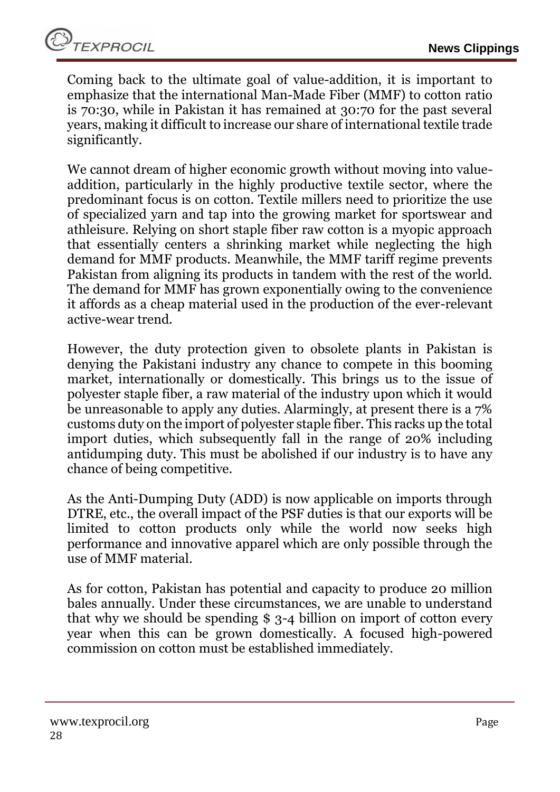Coming back to the ultimate goal of value-addition, it is important to emphasize that the international Man-Made Fiber (MMF) to cotton ratio is 70:30, while in Pakistan it has remained at 30:70 for the past several years, making it difficult to increase our share of international textile trade significantly.

We cannot dream of higher economic growth without moving into valueaddition, particularly in the highly productive textile sector, where the predominant focus is on cotton. Textile millers need to prioritize the use of specialized yarn and tap into the growing market for sportswear and athleisure. Relying on short staple fiber raw cotton is a myopic approach that essentially centers a shrinking market while neglecting the high demand for MMF products. Meanwhile, the MMF tariff regime prevents Pakistan from aligning its products in tandem with the rest of the world. The demand for MMF has grown exponentially owing to the convenience it affords as a cheap material used in the production of the ever-relevant active-wear trend.

However, the duty protection given to obsolete plants in Pakistan is denying the Pakistani industry any chance to compete in this booming market, internationally or domestically. This brings us to the issue of polyester staple fiber, a raw material of the industry upon which it would be unreasonable to apply any duties. Alarmingly, at present there is a 7% customs duty on the import of polyester staple fiber. This racks up the total import duties, which subsequently fall in the range of 20% including antidumping duty. This must be abolished if our industry is to have any chance of being competitive.

As the Anti-Dumping Duty (ADD) is now applicable on imports through DTRE, etc., the overall impact of the PSF duties is that our exports will be limited to cotton products only while the world now seeks high performance and innovative apparel which are only possible through the use of MMF material.

As for cotton, Pakistan has potential and capacity to produce 20 million bales annually. Under these circumstances, we are unable to understand that why we should be spending \$ 3-4 billion on import of cotton every year when this can be grown domestically. A focused high-powered commission on cotton must be established immediately.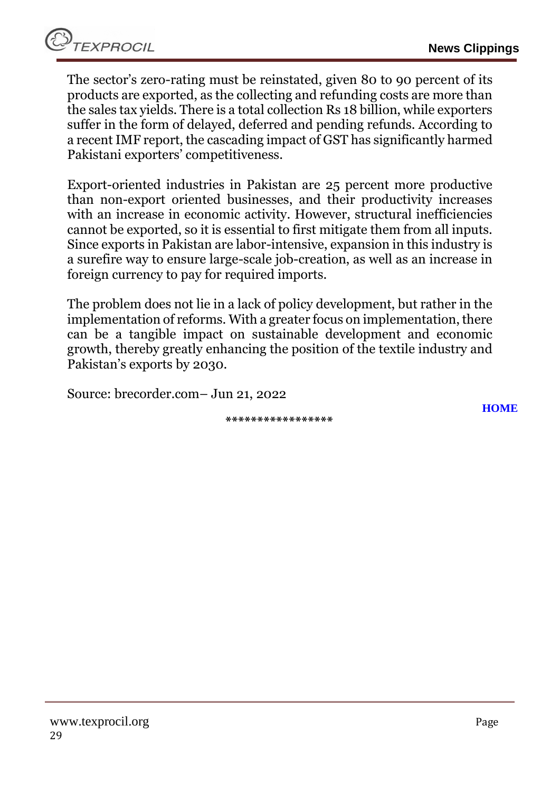The sector's zero-rating must be reinstated, given 80 to 90 percent of its products are exported, as the collecting and refunding costs are more than the sales tax yields. There is a total collection Rs 18 billion, while exporters suffer in the form of delayed, deferred and pending refunds. According to a recent IMF report, the cascading impact of GST has significantly harmed Pakistani exporters' competitiveness.

Export-oriented industries in Pakistan are 25 percent more productive than non-export oriented businesses, and their productivity increases with an increase in economic activity. However, structural inefficiencies cannot be exported, so it is essential to first mitigate them from all inputs. Since exports in Pakistan are labor-intensive, expansion in this industry is a surefire way to ensure large-scale job-creation, as well as an increase in foreign currency to pay for required imports.

The problem does not lie in a lack of policy development, but rather in the implementation of reforms. With a greater focus on implementation, there can be a tangible impact on sustainable development and economic growth, thereby greatly enhancing the position of the textile industry and Pakistan's exports by 2030.

Source: brecorder.com– Jun 21, 2022

**\*\*\*\*\*\*\*\*\*\*\*\*\*\*\*\*\***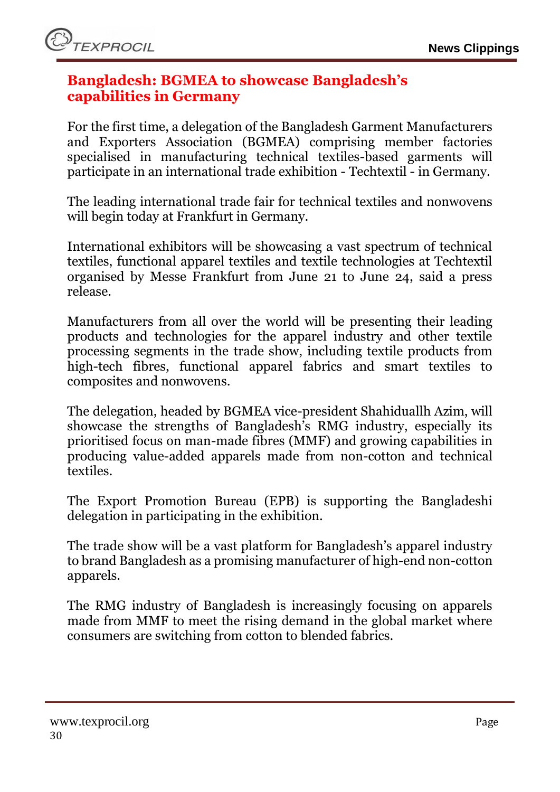### <span id="page-29-0"></span>**Bangladesh: BGMEA to showcase Bangladesh's capabilities in Germany**

For the first time, a delegation of the Bangladesh Garment Manufacturers and Exporters Association (BGMEA) comprising member factories specialised in manufacturing technical textiles-based garments will participate in an international trade exhibition - Techtextil - in Germany.

The leading international trade fair for technical textiles and nonwovens will begin today at Frankfurt in Germany.

International exhibitors will be showcasing a vast spectrum of technical textiles, functional apparel textiles and textile technologies at Techtextil organised by Messe Frankfurt from June 21 to June 24, said a press release.

Manufacturers from all over the world will be presenting their leading products and technologies for the apparel industry and other textile processing segments in the trade show, including textile products from high-tech fibres, functional apparel fabrics and smart textiles to composites and nonwovens.

The delegation, headed by BGMEA vice-president Shahiduallh Azim, will showcase the strengths of Bangladesh's RMG industry, especially its prioritised focus on man-made fibres (MMF) and growing capabilities in producing value-added apparels made from non-cotton and technical textiles.

The Export Promotion Bureau (EPB) is supporting the Bangladeshi delegation in participating in the exhibition.

The trade show will be a vast platform for Bangladesh's apparel industry to brand Bangladesh as a promising manufacturer of high-end non-cotton apparels.

The RMG industry of Bangladesh is increasingly focusing on apparels made from MMF to meet the rising demand in the global market where consumers are switching from cotton to blended fabrics.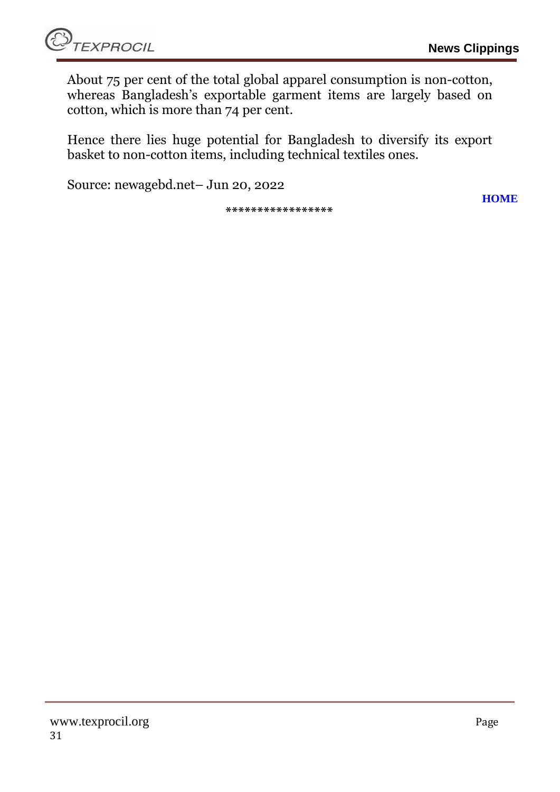About 75 per cent of the total global apparel consumption is non-cotton, whereas Bangladesh's exportable garment items are largely based on cotton, which is more than 74 per cent.

Hence there lies huge potential for Bangladesh to diversify its export basket to non-cotton items, including technical textiles ones.

Source: newagebd.net– Jun 20, 2022

**\*\*\*\*\*\*\*\*\*\*\*\*\*\*\*\*\***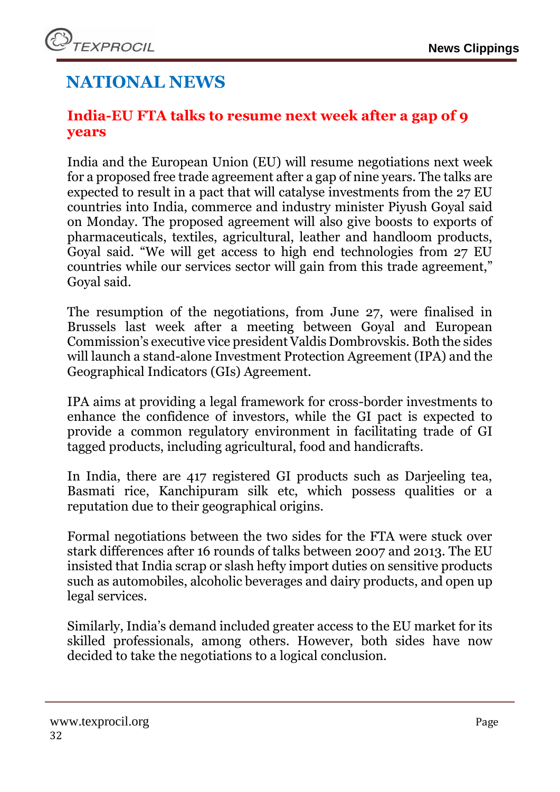# **NATIONAL NEWS**

# <span id="page-31-0"></span>**India-EU FTA talks to resume next week after a gap of 9 years**

India and the European Union (EU) will resume negotiations next week for a proposed free trade agreement after a gap of nine years. The talks are expected to result in a pact that will catalyse investments from the 27 EU countries into India, commerce and industry minister Piyush Goyal said on Monday. The proposed agreement will also give boosts to exports of pharmaceuticals, textiles, agricultural, leather and handloom products, Goyal said. "We will get access to high end technologies from 27 EU countries while our services sector will gain from this trade agreement," Goyal said.

The resumption of the negotiations, from June 27, were finalised in Brussels last week after a meeting between Goyal and European Commission's executive vice president Valdis Dombrovskis. Both the sides will launch a stand-alone Investment Protection Agreement (IPA) and the Geographical Indicators (GIs) Agreement.

IPA aims at providing a legal framework for cross-border investments to enhance the confidence of investors, while the GI pact is expected to provide a common regulatory environment in facilitating trade of GI tagged products, including agricultural, food and handicrafts.

In India, there are 417 registered GI products such as Darjeeling tea, Basmati rice, Kanchipuram silk etc, which possess qualities or a reputation due to their geographical origins.

Formal negotiations between the two sides for the FTA were stuck over stark differences after 16 rounds of talks between 2007 and 2013. The EU insisted that India scrap or slash hefty import duties on sensitive products such as automobiles, alcoholic beverages and dairy products, and open up legal services.

Similarly, India's demand included greater access to the EU market for its skilled professionals, among others. However, both sides have now decided to take the negotiations to a logical conclusion.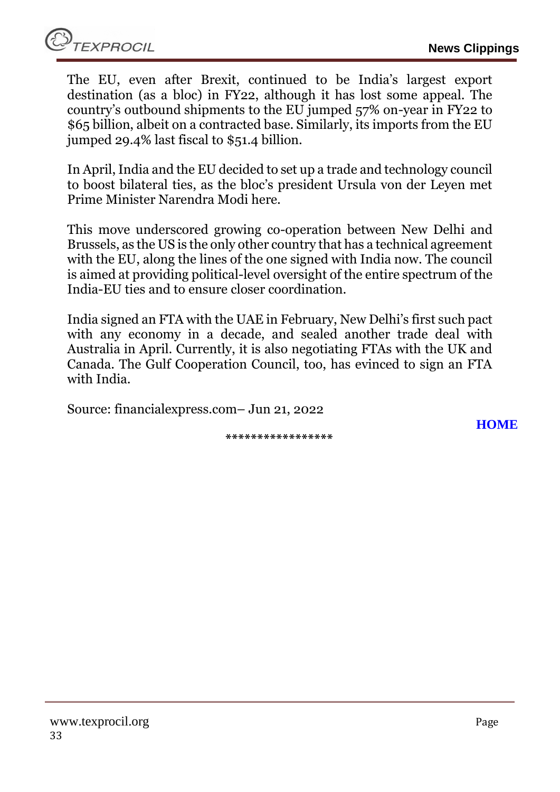The EU, even after Brexit, continued to be India's largest export destination (as a bloc) in FY22, although it has lost some appeal. The country's outbound shipments to the EU jumped 57% on-year in FY22 to \$65 billion, albeit on a contracted base. Similarly, its imports from the EU jumped 29.4% last fiscal to \$51.4 billion.

In April, India and the EU decided to set up a trade and technology council to boost bilateral ties, as the bloc's president Ursula von der Leyen met Prime Minister Narendra Modi here.

This move underscored growing co-operation between New Delhi and Brussels, as the US is the only other country that has a technical agreement with the EU, along the lines of the one signed with India now. The council is aimed at providing political-level oversight of the entire spectrum of the India-EU ties and to ensure closer coordination.

India signed an FTA with the UAE in February, New Delhi's first such pact with any economy in a decade, and sealed another trade deal with Australia in April. Currently, it is also negotiating FTAs with the UK and Canada. The Gulf Cooperation Council, too, has evinced to sign an FTA with India.

Source: financialexpress.com– Jun 21, 2022

**\*\*\*\*\*\*\*\*\*\*\*\*\*\*\*\*\***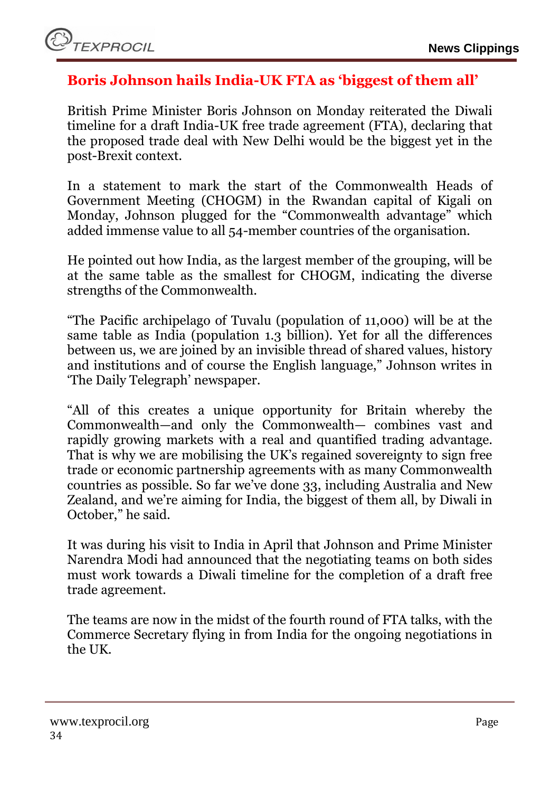

### <span id="page-33-0"></span>**Boris Johnson hails India-UK FTA as 'biggest of them all'**

British Prime Minister Boris Johnson on Monday reiterated the Diwali timeline for a draft India-UK free trade agreement (FTA), declaring that the proposed trade deal with New Delhi would be the biggest yet in the post-Brexit context.

In a statement to mark the start of the Commonwealth Heads of Government Meeting (CHOGM) in the Rwandan capital of Kigali on Monday, Johnson plugged for the "Commonwealth advantage" which added immense value to all 54-member countries of the organisation.

He pointed out how India, as the largest member of the grouping, will be at the same table as the smallest for CHOGM, indicating the diverse strengths of the Commonwealth.

"The Pacific archipelago of Tuvalu (population of 11,000) will be at the same table as India (population 1.3 billion). Yet for all the differences between us, we are joined by an invisible thread of shared values, history and institutions and of course the English language," Johnson writes in 'The Daily Telegraph' newspaper.

"All of this creates a unique opportunity for Britain whereby the Commonwealth—and only the Commonwealth— combines vast and rapidly growing markets with a real and quantified trading advantage. That is why we are mobilising the UK's regained sovereignty to sign free trade or economic partnership agreements with as many Commonwealth countries as possible. So far we've done 33, including Australia and New Zealand, and we're aiming for India, the biggest of them all, by Diwali in October," he said.

It was during his visit to India in April that Johnson and Prime Minister Narendra Modi had announced that the negotiating teams on both sides must work towards a Diwali timeline for the completion of a draft free trade agreement.

The teams are now in the midst of the fourth round of FTA talks, with the Commerce Secretary flying in from India for the ongoing negotiations in the UK.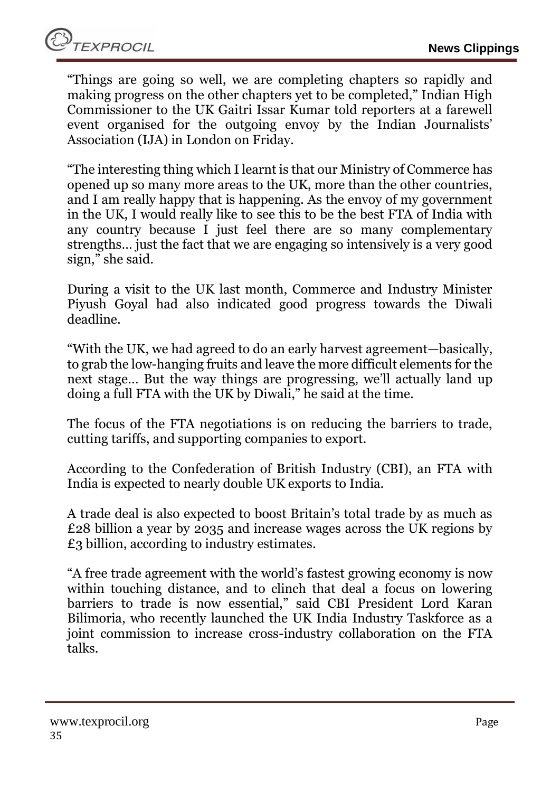"Things are going so well, we are completing chapters so rapidly and making progress on the other chapters yet to be completed," Indian High Commissioner to the UK Gaitri Issar Kumar told reporters at a farewell event organised for the outgoing envoy by the Indian Journalists' Association (IJA) in London on Friday.

"The interesting thing which I learnt is that our Ministry of Commerce has opened up so many more areas to the UK, more than the other countries, and I am really happy that is happening. As the envoy of my government in the UK, I would really like to see this to be the best FTA of India with any country because I just feel there are so many complementary strengths… just the fact that we are engaging so intensively is a very good sign," she said.

During a visit to the UK last month, Commerce and Industry Minister Piyush Goyal had also indicated good progress towards the Diwali deadline.

"With the UK, we had agreed to do an early harvest agreement—basically, to grab the low-hanging fruits and leave the more difficult elements for the next stage… But the way things are progressing, we'll actually land up doing a full FTA with the UK by Diwali," he said at the time.

The focus of the FTA negotiations is on reducing the barriers to trade, cutting tariffs, and supporting companies to export.

According to the Confederation of British Industry (CBI), an FTA with India is expected to nearly double UK exports to India.

A trade deal is also expected to boost Britain's total trade by as much as £28 billion a year by 2035 and increase wages across the UK regions by £3 billion, according to industry estimates.

"A free trade agreement with the world's fastest growing economy is now within touching distance, and to clinch that deal a focus on lowering barriers to trade is now essential," said CBI President Lord Karan Bilimoria, who recently launched the UK India Industry Taskforce as a joint commission to increase cross-industry collaboration on the FTA talks.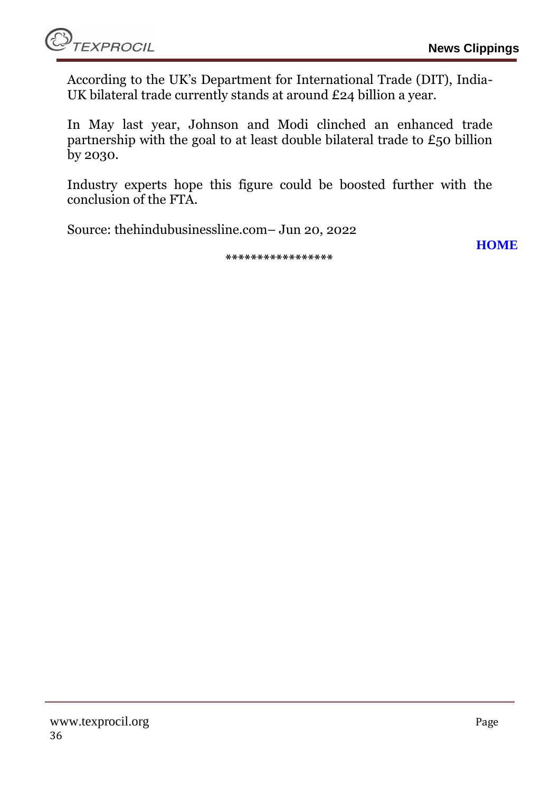According to the UK's Department for International Trade (DIT), India-UK bilateral trade currently stands at around £24 billion a year.

In May last year, Johnson and Modi clinched an enhanced trade partnership with the goal to at least double bilateral trade to £50 billion by 2030.

Industry experts hope this figure could be boosted further with the conclusion of the FTA.

Source: thehindubusinessline.com– Jun 20, 2022

**[HOME](#page-0-0)**

**\*\*\*\*\*\*\*\*\*\*\*\*\*\*\*\*\***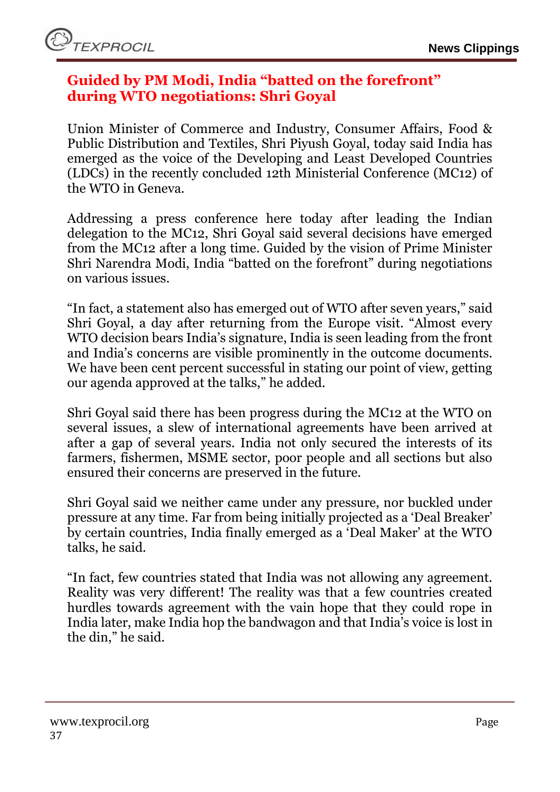### <span id="page-36-0"></span>**Guided by PM Modi, India "batted on the forefront" during WTO negotiations: Shri Goyal**

Union Minister of Commerce and Industry, Consumer Affairs, Food & Public Distribution and Textiles, Shri Piyush Goyal, today said India has emerged as the voice of the Developing and Least Developed Countries (LDCs) in the recently concluded 12th Ministerial Conference (MC12) of the WTO in Geneva.

Addressing a press conference here today after leading the Indian delegation to the MC12, Shri Goyal said several decisions have emerged from the MC12 after a long time. Guided by the vision of Prime Minister Shri Narendra Modi, India "batted on the forefront" during negotiations on various issues.

"In fact, a statement also has emerged out of WTO after seven years," said Shri Goyal, a day after returning from the Europe visit. "Almost every WTO decision bears India's signature, India is seen leading from the front and India's concerns are visible prominently in the outcome documents. We have been cent percent successful in stating our point of view, getting our agenda approved at the talks," he added.

Shri Goyal said there has been progress during the MC12 at the WTO on several issues, a slew of international agreements have been arrived at after a gap of several years. India not only secured the interests of its farmers, fishermen, MSME sector, poor people and all sections but also ensured their concerns are preserved in the future.

Shri Goyal said we neither came under any pressure, nor buckled under pressure at any time. Far from being initially projected as a 'Deal Breaker' by certain countries, India finally emerged as a 'Deal Maker' at the WTO talks, he said.

"In fact, few countries stated that India was not allowing any agreement. Reality was very different! The reality was that a few countries created hurdles towards agreement with the vain hope that they could rope in India later, make India hop the bandwagon and that India's voice is lost in the din," he said.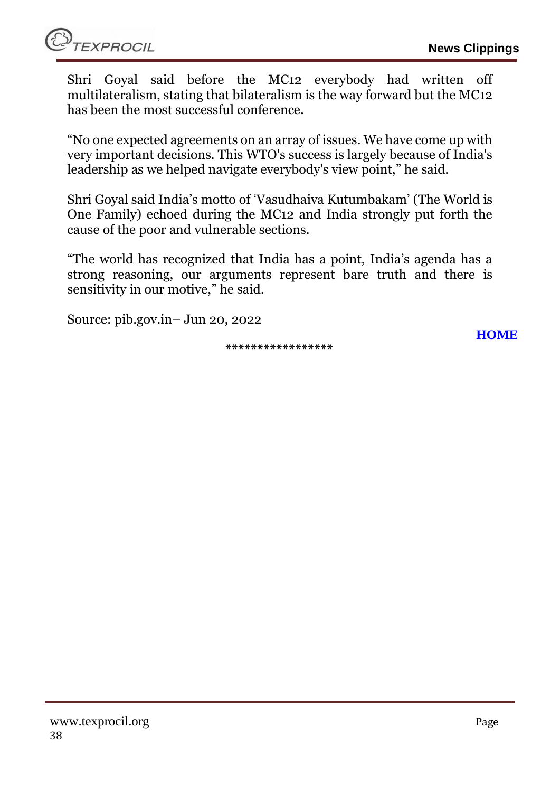Shri Goyal said before the MC12 everybody had written off multilateralism, stating that bilateralism is the way forward but the MC12 has been the most successful conference.

"No one expected agreements on an array of issues. We have come up with very important decisions. This WTO's success is largely because of India's leadership as we helped navigate everybody's view point," he said.

Shri Goyal said India's motto of 'Vasudhaiva Kutumbakam' (The World is One Family) echoed during the MC12 and India strongly put forth the cause of the poor and vulnerable sections.

"The world has recognized that India has a point, India's agenda has a strong reasoning, our arguments represent bare truth and there is sensitivity in our motive," he said.

Source: pib.gov.in– Jun 20, 2022

**\*\*\*\*\*\*\*\*\*\*\*\*\*\*\*\*\***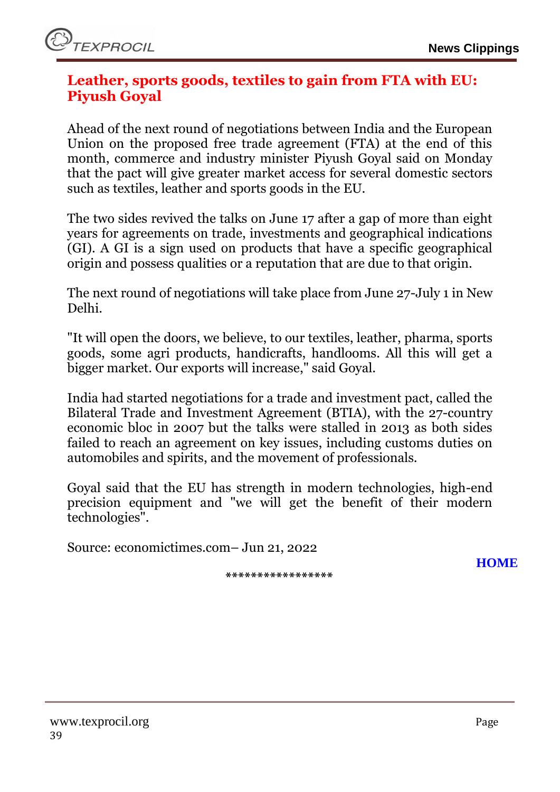# <span id="page-38-0"></span>**Leather, sports goods, textiles to gain from FTA with EU: Piyush Goyal**

Ahead of the next round of negotiations between India and the European Union on the proposed free trade agreement (FTA) at the end of this month, commerce and industry minister Piyush Goyal said on Monday that the pact will give greater market access for several domestic sectors such as textiles, leather and sports goods in the EU.

The two sides revived the talks on June 17 after a gap of more than eight years for agreements on trade, investments and geographical indications (GI). A GI is a sign used on products that have a specific geographical origin and possess qualities or a reputation that are due to that origin.

The next round of negotiations will take place from June 27-July 1 in New Delhi.

"It will open the doors, we believe, to our textiles, leather, pharma, sports goods, some agri products, handicrafts, handlooms. All this will get a bigger market. Our exports will increase," said Goyal.

India had started negotiations for a trade and investment pact, called the Bilateral Trade and Investment Agreement (BTIA), with the 27-country economic bloc in 2007 but the talks were stalled in 2013 as both sides failed to reach an agreement on key issues, including customs duties on automobiles and spirits, and the movement of professionals.

Goyal said that the EU has strength in modern technologies, high-end precision equipment and "we will get the benefit of their modern technologies".

Source: economictimes.com– Jun 21, 2022

**\*\*\*\*\*\*\*\*\*\*\*\*\*\*\*\*\***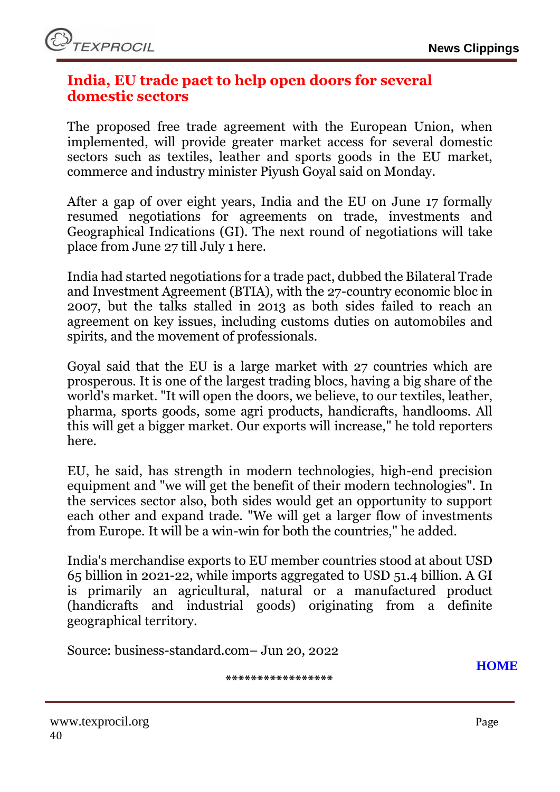### <span id="page-39-0"></span>**India, EU trade pact to help open doors for several domestic sectors**

The proposed free trade agreement with the European Union, when implemented, will provide greater market access for several domestic sectors such as textiles, leather and sports goods in the EU market, commerce and industry minister Piyush Goyal said on Monday.

After a gap of over eight years, India and the EU on June 17 formally resumed negotiations for agreements on trade, investments and Geographical Indications (GI). The next round of negotiations will take place from June 27 till July 1 here.

India had started negotiations for a trade pact, dubbed the Bilateral Trade and Investment Agreement (BTIA), with the 27-country economic bloc in 2007, but the talks stalled in 2013 as both sides failed to reach an agreement on key issues, including customs duties on automobiles and spirits, and the movement of professionals.

Goyal said that the EU is a large market with 27 countries which are prosperous. It is one of the largest trading blocs, having a big share of the world's market. "It will open the doors, we believe, to our textiles, leather, pharma, sports goods, some agri products, handicrafts, handlooms. All this will get a bigger market. Our exports will increase," he told reporters here.

EU, he said, has strength in modern technologies, high-end precision equipment and "we will get the benefit of their modern technologies". In the services sector also, both sides would get an opportunity to support each other and expand trade. "We will get a larger flow of investments from Europe. It will be a win-win for both the countries," he added.

India's merchandise exports to EU member countries stood at about USD 65 billion in 2021-22, while imports aggregated to USD 51.4 billion. A GI is primarily an agricultural, natural or a manufactured product (handicrafts and industrial goods) originating from a definite geographical territory.

Source: business-standard.com– Jun 20, 2022

**\*\*\*\*\*\*\*\*\*\*\*\*\*\*\*\*\***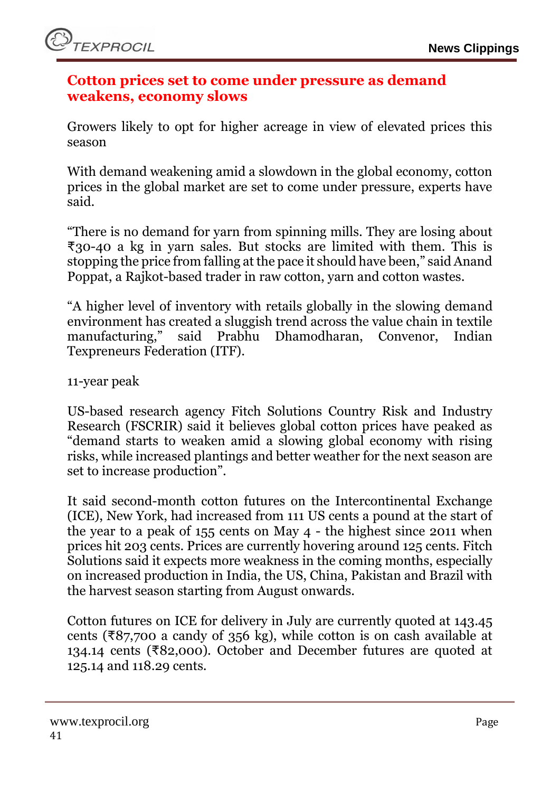### <span id="page-40-0"></span>**Cotton prices set to come under pressure as demand weakens, economy slows**

Growers likely to opt for higher acreage in view of elevated prices this season

With demand weakening amid a slowdown in the global economy, cotton prices in the global market are set to come under pressure, experts have said.

"There is no demand for yarn from spinning mills. They are losing about ₹30-40 a kg in yarn sales. But stocks are limited with them. This is stopping the price from falling at the pace it should have been," said Anand Poppat, a Rajkot-based trader in raw cotton, yarn and cotton wastes.

"A higher level of inventory with retails globally in the slowing demand environment has created a sluggish trend across the value chain in textile manufacturing," said Prabhu Dhamodharan, Convenor, Indian said Prabhu Dhamodharan, Convenor, Indian Texpreneurs Federation (ITF).

11-year peak

US-based research agency Fitch Solutions Country Risk and Industry Research (FSCRIR) said it believes global cotton prices have peaked as "demand starts to weaken amid a slowing global economy with rising risks, while increased plantings and better weather for the next season are set to increase production".

It said second-month cotton futures on the Intercontinental Exchange (ICE), New York, had increased from 111 US cents a pound at the start of the year to a peak of 155 cents on May 4 - the highest since 2011 when prices hit 203 cents. Prices are currently hovering around 125 cents. Fitch Solutions said it expects more weakness in the coming months, especially on increased production in India, the US, China, Pakistan and Brazil with the harvest season starting from August onwards.

Cotton futures on ICE for delivery in July are currently quoted at 143.45 cents ( $\overline{x}87,700$  a candy of 356 kg), while cotton is on cash available at 134.14 cents (₹82,000). October and December futures are quoted at 125.14 and 118.29 cents.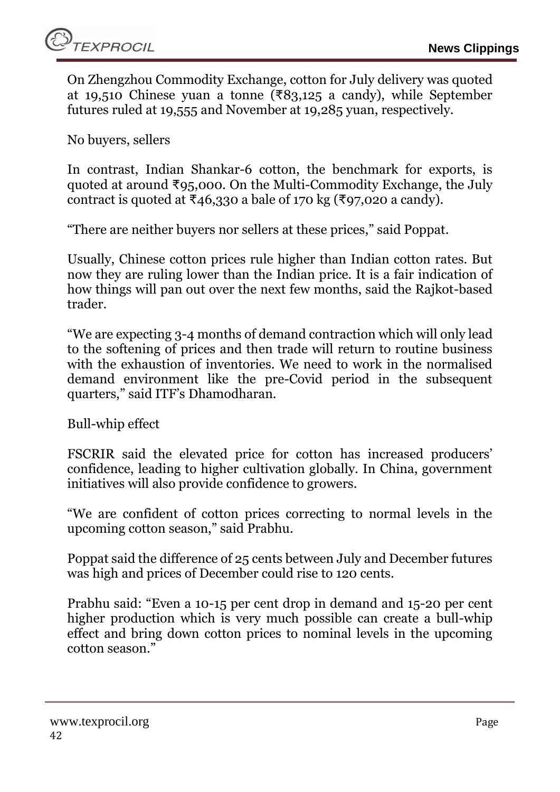On Zhengzhou Commodity Exchange, cotton for July delivery was quoted at 19,510 Chinese yuan a tonne (₹83,125 a candy), while September futures ruled at 19,555 and November at 19,285 yuan, respectively.

No buyers, sellers

In contrast, Indian Shankar-6 cotton, the benchmark for exports, is quoted at around ₹95,000. On the Multi-Commodity Exchange, the July contract is quoted at ₹46,330 a bale of 170 kg (₹97,020 a candy).

"There are neither buyers nor sellers at these prices," said Poppat.

Usually, Chinese cotton prices rule higher than Indian cotton rates. But now they are ruling lower than the Indian price. It is a fair indication of how things will pan out over the next few months, said the Rajkot-based trader.

"We are expecting 3-4 months of demand contraction which will only lead to the softening of prices and then trade will return to routine business with the exhaustion of inventories. We need to work in the normalised demand environment like the pre-Covid period in the subsequent quarters," said ITF's Dhamodharan.

Bull-whip effect

FSCRIR said the elevated price for cotton has increased producers' confidence, leading to higher cultivation globally. In China, government initiatives will also provide confidence to growers.

"We are confident of cotton prices correcting to normal levels in the upcoming cotton season," said Prabhu.

Poppat said the difference of 25 cents between July and December futures was high and prices of December could rise to 120 cents.

Prabhu said: "Even a 10-15 per cent drop in demand and 15-20 per cent higher production which is very much possible can create a bull-whip effect and bring down cotton prices to nominal levels in the upcoming cotton season."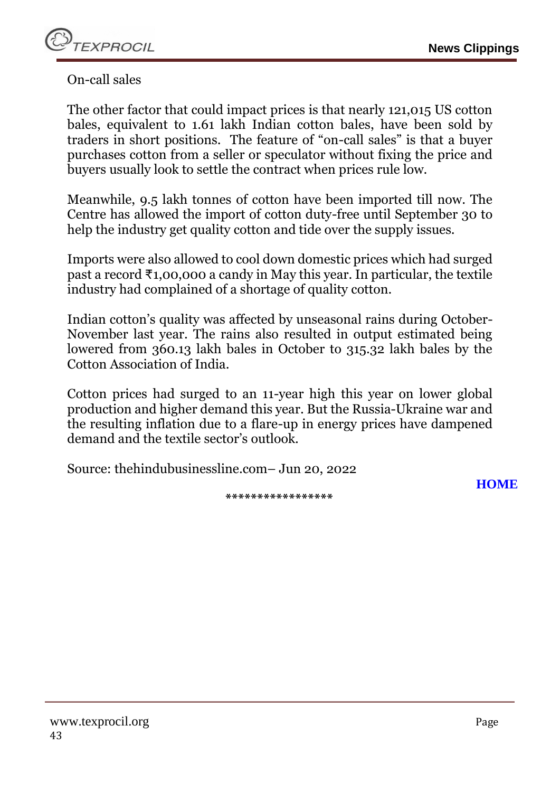On-call sales

The other factor that could impact prices is that nearly 121,015 US cotton bales, equivalent to 1.61 lakh Indian cotton bales, have been sold by traders in short positions. The feature of "on-call sales" is that a buyer purchases cotton from a seller or speculator without fixing the price and buyers usually look to settle the contract when prices rule low.

Meanwhile, 9.5 lakh tonnes of cotton have been imported till now. The Centre has allowed the import of cotton duty-free until September 30 to help the industry get quality cotton and tide over the supply issues.

Imports were also allowed to cool down domestic prices which had surged past a record ₹1,00,000 a candy in May this year. In particular, the textile industry had complained of a shortage of quality cotton.

Indian cotton's quality was affected by unseasonal rains during October-November last year. The rains also resulted in output estimated being lowered from 360.13 lakh bales in October to 315.32 lakh bales by the Cotton Association of India.

Cotton prices had surged to an 11-year high this year on lower global production and higher demand this year. But the Russia-Ukraine war and the resulting inflation due to a flare-up in energy prices have dampened demand and the textile sector's outlook.

Source: thehindubusinessline.com– Jun 20, 2022

**[HOME](#page-0-0)**

**\*\*\*\*\*\*\*\*\*\*\*\*\*\*\*\*\***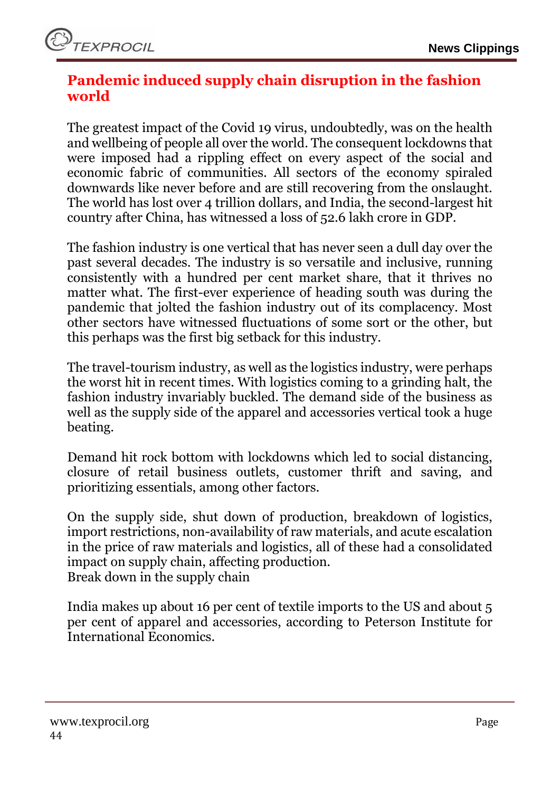# <span id="page-43-0"></span>**Pandemic induced supply chain disruption in the fashion world**

The greatest impact of the Covid 19 virus, undoubtedly, was on the health and wellbeing of people all over the world. The consequent lockdowns that were imposed had a rippling effect on every aspect of the social and economic fabric of communities. All sectors of the economy spiraled downwards like never before and are still recovering from the onslaught. The world has lost over 4 trillion dollars, and India, the second-largest hit country after China, has witnessed a loss of 52.6 lakh crore in GDP.

The fashion industry is one vertical that has never seen a dull day over the past several decades. The industry is so versatile and inclusive, running consistently with a hundred per cent market share, that it thrives no matter what. The first-ever experience of heading south was during the pandemic that jolted the fashion industry out of its complacency. Most other sectors have witnessed fluctuations of some sort or the other, but this perhaps was the first big setback for this industry.

The travel-tourism industry, as well as the logistics industry, were perhaps the worst hit in recent times. With logistics coming to a grinding halt, the fashion industry invariably buckled. The demand side of the business as well as the supply side of the apparel and accessories vertical took a huge beating.

Demand hit rock bottom with lockdowns which led to social distancing, closure of retail business outlets, customer thrift and saving, and prioritizing essentials, among other factors.

On the supply side, shut down of production, breakdown of logistics, import restrictions, non-availability of raw materials, and acute escalation in the price of raw materials and logistics, all of these had a consolidated impact on supply chain, affecting production. Break down in the supply chain

India makes up about 16 per cent of textile imports to the US and about 5 per cent of apparel and accessories, according to Peterson Institute for International Economics.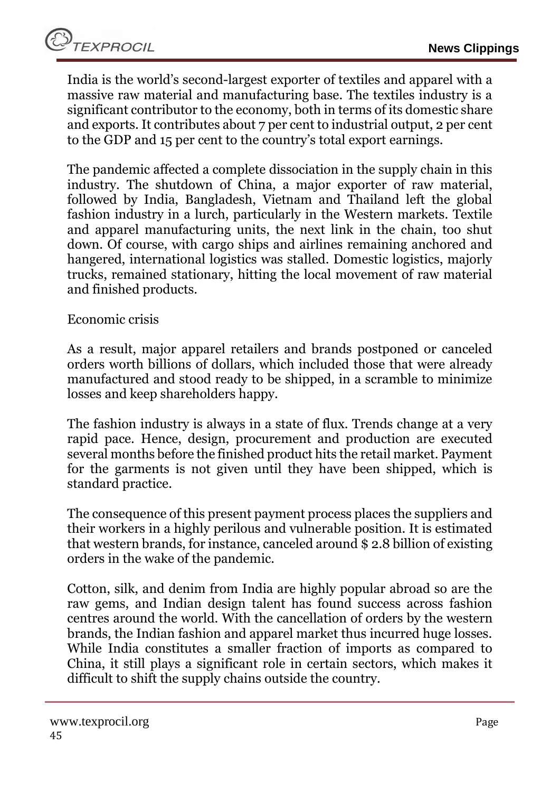India is the world's second-largest exporter of textiles and apparel with a massive raw material and manufacturing base. The textiles industry is a significant contributor to the economy, both in terms of its domestic share and exports. It contributes about 7 per cent to industrial output, 2 per cent to the GDP and 15 per cent to the country's total export earnings.

The pandemic affected a complete dissociation in the supply chain in this industry. The shutdown of China, a major exporter of raw material, followed by India, Bangladesh, Vietnam and Thailand left the global fashion industry in a lurch, particularly in the Western markets. Textile and apparel manufacturing units, the next link in the chain, too shut down. Of course, with cargo ships and airlines remaining anchored and hangered, international logistics was stalled. Domestic logistics, majorly trucks, remained stationary, hitting the local movement of raw material and finished products.

### Economic crisis

As a result, major apparel retailers and brands postponed or canceled orders worth billions of dollars, which included those that were already manufactured and stood ready to be shipped, in a scramble to minimize losses and keep shareholders happy.

The fashion industry is always in a state of flux. Trends change at a very rapid pace. Hence, design, procurement and production are executed several months before the finished product hits the retail market. Payment for the garments is not given until they have been shipped, which is standard practice.

The consequence of this present payment process places the suppliers and their workers in a highly perilous and vulnerable position. It is estimated that western brands, for instance, canceled around \$ 2.8 billion of existing orders in the wake of the pandemic.

Cotton, silk, and denim from India are highly popular abroad so are the raw gems, and Indian design talent has found success across fashion centres around the world. With the cancellation of orders by the western brands, the Indian fashion and apparel market thus incurred huge losses. While India constitutes a smaller fraction of imports as compared to China, it still plays a significant role in certain sectors, which makes it difficult to shift the supply chains outside the country.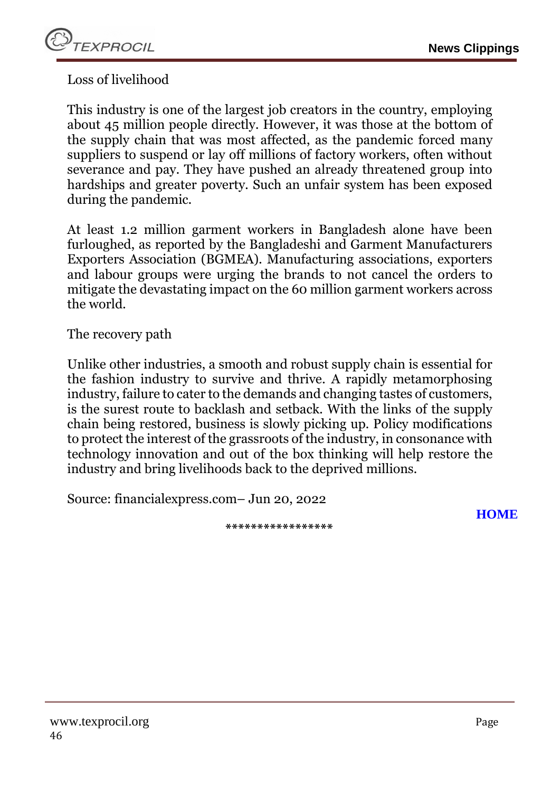

Loss of livelihood

This industry is one of the largest job creators in the country, employing about 45 million people directly. However, it was those at the bottom of the supply chain that was most affected, as the pandemic forced many suppliers to suspend or lay off millions of factory workers, often without severance and pay. They have pushed an already threatened group into hardships and greater poverty. Such an unfair system has been exposed during the pandemic.

At least 1.2 million garment workers in Bangladesh alone have been furloughed, as reported by the Bangladeshi and Garment Manufacturers Exporters Association (BGMEA). Manufacturing associations, exporters and labour groups were urging the brands to not cancel the orders to mitigate the devastating impact on the 60 million garment workers across the world.

The recovery path

Unlike other industries, a smooth and robust supply chain is essential for the fashion industry to survive and thrive. A rapidly metamorphosing industry, failure to cater to the demands and changing tastes of customers, is the surest route to backlash and setback. With the links of the supply chain being restored, business is slowly picking up. Policy modifications to protect the interest of the grassroots of the industry, in consonance with technology innovation and out of the box thinking will help restore the industry and bring livelihoods back to the deprived millions.

**\*\*\*\*\*\*\*\*\*\*\*\*\*\*\*\*\***

Source: financialexpress.com– Jun 20, 2022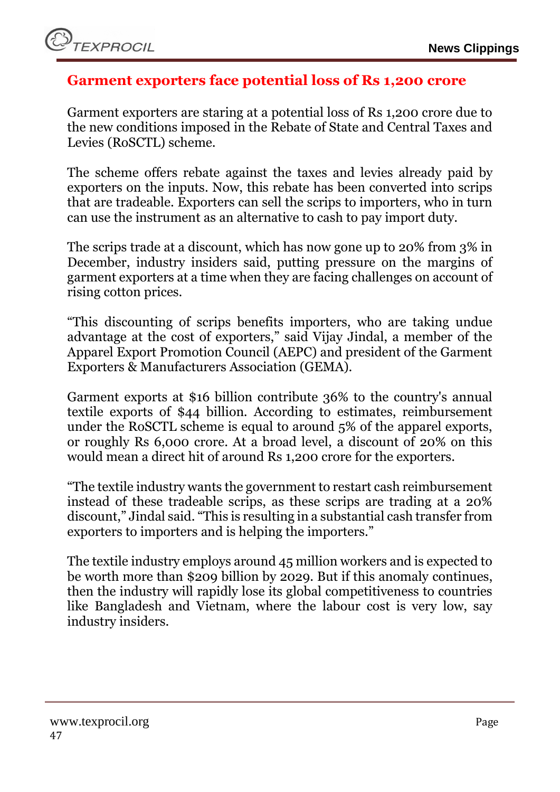### <span id="page-46-0"></span>**Garment exporters face potential loss of Rs 1,200 crore**

Garment exporters are staring at a potential loss of Rs 1,200 crore due to the new conditions imposed in the Rebate of State and Central Taxes and Levies (RoSCTL) scheme.

The scheme offers rebate against the taxes and levies already paid by exporters on the inputs. Now, this rebate has been converted into scrips that are tradeable. Exporters can sell the scrips to importers, who in turn can use the instrument as an alternative to cash to pay import duty.

The scrips trade at a discount, which has now gone up to 20% from 3% in December, industry insiders said, putting pressure on the margins of garment exporters at a time when they are facing challenges on account of rising cotton prices.

"This discounting of scrips benefits importers, who are taking undue advantage at the cost of exporters," said Vijay Jindal, a member of the Apparel Export Promotion Council (AEPC) and president of the Garment Exporters & Manufacturers Association (GEMA).

Garment exports at \$16 billion contribute 36% to the country's annual textile exports of \$44 billion. According to estimates, reimbursement under the RoSCTL scheme is equal to around 5% of the apparel exports, or roughly Rs 6,000 crore. At a broad level, a discount of 20% on this would mean a direct hit of around Rs 1,200 crore for the exporters.

"The textile industry wants the government to restart cash reimbursement instead of these tradeable scrips, as these scrips are trading at a 20% discount," Jindal said. "This is resulting in a substantial cash transfer from exporters to importers and is helping the importers."

The textile industry employs around 45 million workers and is expected to be worth more than \$209 billion by 2029. But if this anomaly continues, then the industry will rapidly lose its global competitiveness to countries like Bangladesh and Vietnam, where the labour cost is very low, say industry insiders.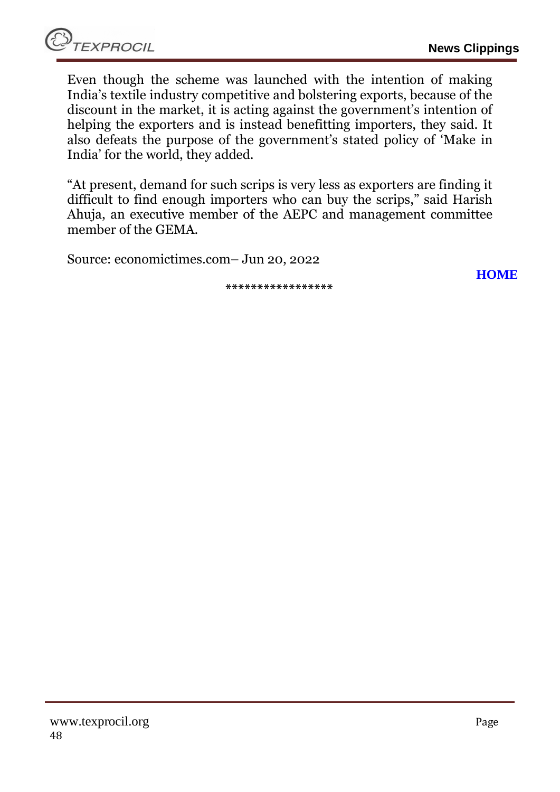Even though the scheme was launched with the intention of making India's textile industry competitive and bolstering exports, because of the discount in the market, it is acting against the government's intention of helping the exporters and is instead benefitting importers, they said. It also defeats the purpose of the government's stated policy of 'Make in India' for the world, they added.

"At present, demand for such scrips is very less as exporters are finding it difficult to find enough importers who can buy the scrips," said Harish Ahuja, an executive member of the AEPC and management committee member of the GEMA.

Source: economictimes.com– Jun 20, 2022

**\*\*\*\*\*\*\*\*\*\*\*\*\*\*\*\*\***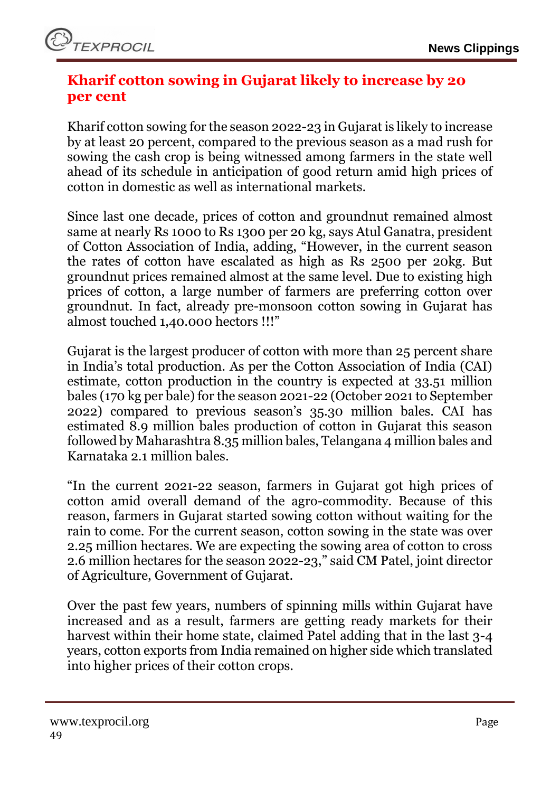# <span id="page-48-0"></span>**Kharif cotton sowing in Gujarat likely to increase by 20 per cent**

Kharif cotton sowing for the season 2022-23 in Gujarat is likely to increase by at least 20 percent, compared to the previous season as a mad rush for sowing the cash crop is being witnessed among farmers in the state well ahead of its schedule in anticipation of good return amid high prices of cotton in domestic as well as international markets.

Since last one decade, prices of cotton and groundnut remained almost same at nearly Rs 1000 to Rs 1300 per 20 kg, says Atul Ganatra, president of Cotton Association of India, adding, "However, in the current season the rates of cotton have escalated as high as Rs 2500 per 20kg. But groundnut prices remained almost at the same level. Due to existing high prices of cotton, a large number of farmers are preferring cotton over groundnut. In fact, already pre-monsoon cotton sowing in Gujarat has almost touched 1,40.000 hectors !!!"

Gujarat is the largest producer of cotton with more than 25 percent share in India's total production. As per the Cotton Association of India (CAI) estimate, cotton production in the country is expected at 33.51 million bales (170 kg per bale) for the season 2021-22 (October 2021 to September 2022) compared to previous season's 35.30 million bales. CAI has estimated 8.9 million bales production of cotton in Gujarat this season followed by Maharashtra 8.35 million bales, Telangana 4 million bales and Karnataka 2.1 million bales.

"In the current 2021-22 season, farmers in Gujarat got high prices of cotton amid overall demand of the agro-commodity. Because of this reason, farmers in Gujarat started sowing cotton without waiting for the rain to come. For the current season, cotton sowing in the state was over 2.25 million hectares. We are expecting the sowing area of cotton to cross 2.6 million hectares for the season 2022-23," said CM Patel, joint director of Agriculture, Government of Gujarat.

Over the past few years, numbers of spinning mills within Gujarat have increased and as a result, farmers are getting ready markets for their harvest within their home state, claimed Patel adding that in the last 3-4 years, cotton exports from India remained on higher side which translated into higher prices of their cotton crops.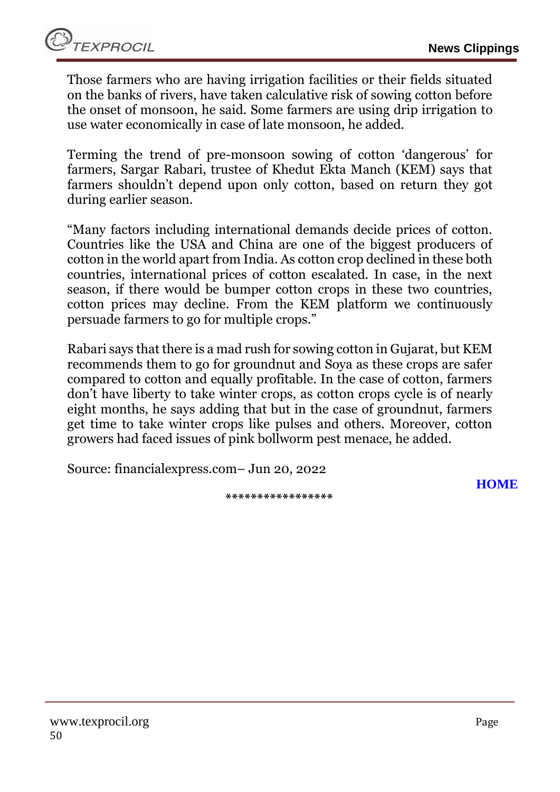Those farmers who are having irrigation facilities or their fields situated on the banks of rivers, have taken calculative risk of sowing cotton before the onset of monsoon, he said. Some farmers are using drip irrigation to use water economically in case of late monsoon, he added.

Terming the trend of pre-monsoon sowing of cotton 'dangerous' for farmers, Sargar Rabari, trustee of Khedut Ekta Manch (KEM) says that farmers shouldn't depend upon only cotton, based on return they got during earlier season.

"Many factors including international demands decide prices of cotton. Countries like the USA and China are one of the biggest producers of cotton in the world apart from India. As cotton crop declined in these both countries, international prices of cotton escalated. In case, in the next season, if there would be bumper cotton crops in these two countries, cotton prices may decline. From the KEM platform we continuously persuade farmers to go for multiple crops."

Rabari says that there is a mad rush for sowing cotton in Gujarat, but KEM recommends them to go for groundnut and Soya as these crops are safer compared to cotton and equally profitable. In the case of cotton, farmers don't have liberty to take winter crops, as cotton crops cycle is of nearly eight months, he says adding that but in the case of groundnut, farmers get time to take winter crops like pulses and others. Moreover, cotton growers had faced issues of pink bollworm pest menace, he added.

Source: financialexpress.com– Jun 20, 2022

**[HOME](#page-0-0)**

**\*\*\*\*\*\*\*\*\*\*\*\*\*\*\*\*\***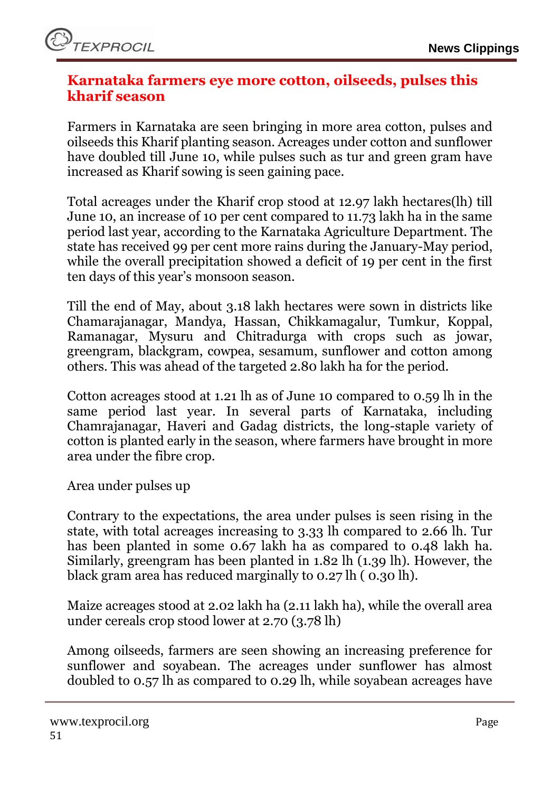### <span id="page-50-0"></span>**Karnataka farmers eye more cotton, oilseeds, pulses this kharif season**

Farmers in Karnataka are seen bringing in more area cotton, pulses and oilseeds this Kharif planting season. Acreages under cotton and sunflower have doubled till June 10, while pulses such as tur and green gram have increased as Kharif sowing is seen gaining pace.

Total acreages under the Kharif crop stood at 12.97 lakh hectares(lh) till June 10, an increase of 10 per cent compared to 11.73 lakh ha in the same period last year, according to the Karnataka Agriculture Department. The state has received 99 per cent more rains during the January-May period, while the overall precipitation showed a deficit of 19 per cent in the first ten days of this year's monsoon season.

Till the end of May, about 3.18 lakh hectares were sown in districts like Chamarajanagar, Mandya, Hassan, Chikkamagalur, Tumkur, Koppal, Ramanagar, Mysuru and Chitradurga with crops such as jowar, greengram, blackgram, cowpea, sesamum, sunflower and cotton among others. This was ahead of the targeted 2.80 lakh ha for the period.

Cotton acreages stood at 1.21 lh as of June 10 compared to 0.59 lh in the same period last year. In several parts of Karnataka, including Chamrajanagar, Haveri and Gadag districts, the long-staple variety of cotton is planted early in the season, where farmers have brought in more area under the fibre crop.

Area under pulses up

Contrary to the expectations, the area under pulses is seen rising in the state, with total acreages increasing to 3.33 lh compared to 2.66 lh. Tur has been planted in some 0.67 lakh ha as compared to 0.48 lakh ha. Similarly, greengram has been planted in 1.82 lh (1.39 lh). However, the black gram area has reduced marginally to 0.27 lh ( 0.30 lh).

Maize acreages stood at 2.02 lakh ha (2.11 lakh ha), while the overall area under cereals crop stood lower at 2.70 (3.78 lh)

Among oilseeds, farmers are seen showing an increasing preference for sunflower and soyabean. The acreages under sunflower has almost doubled to 0.57 lh as compared to 0.29 lh, while soyabean acreages have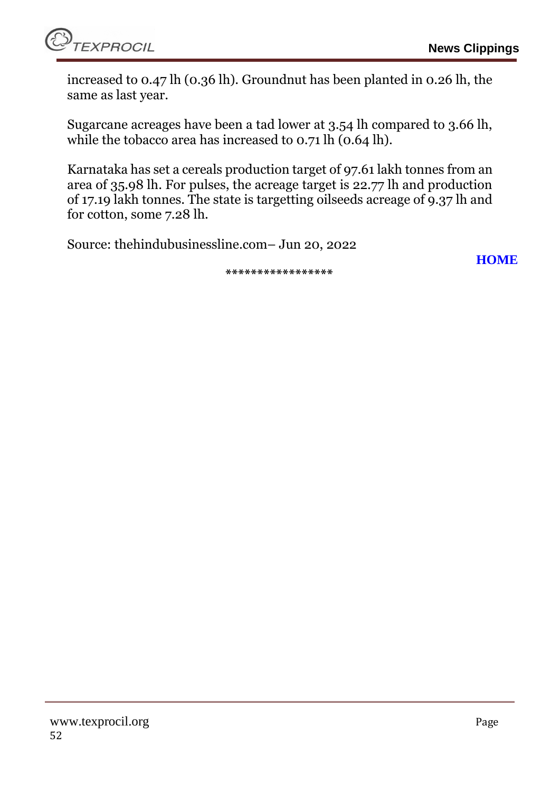

**[HOME](#page-0-0)**

increased to 0.47 lh (0.36 lh). Groundnut has been planted in 0.26 lh, the same as last year.

Sugarcane acreages have been a tad lower at 3.54 lh compared to 3.66 lh, while the tobacco area has increased to 0.71 lh (0.64 lh).

Karnataka has set a cereals production target of 97.61 lakh tonnes from an area of 35.98 lh. For pulses, the acreage target is 22.77 lh and production of 17.19 lakh tonnes. The state is targetting oilseeds acreage of 9.37 lh and for cotton, some 7.28 lh.

Source: thehindubusinessline.com– Jun 20, 2022

**\*\*\*\*\*\*\*\*\*\*\*\*\*\*\*\*\***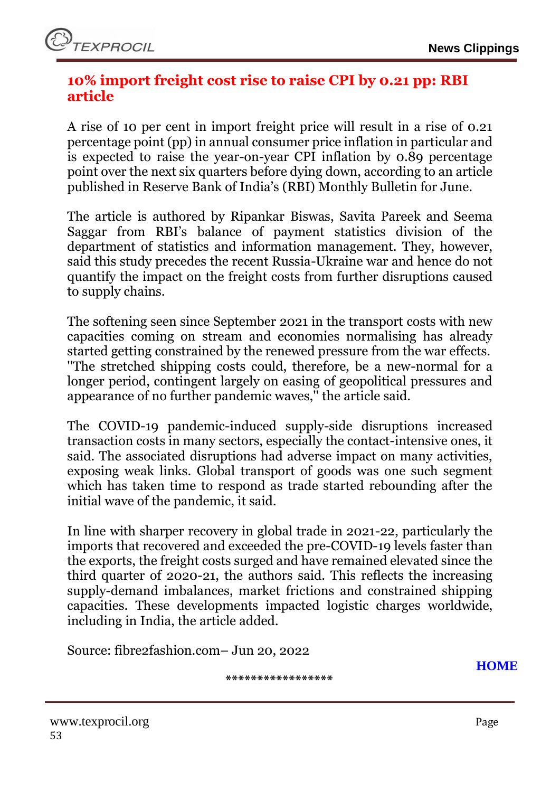### <span id="page-52-0"></span>**10% import freight cost rise to raise CPI by 0.21 pp: RBI article**

A rise of 10 per cent in import freight price will result in a rise of 0.21 percentage point (pp) in annual consumer price inflation in particular and is expected to raise the year-on-year CPI inflation by 0.89 percentage point over the next six quarters before dying down, according to an article published in Reserve Bank of India's (RBI) Monthly Bulletin for June.

The article is authored by Ripankar Biswas, Savita Pareek and Seema Saggar from RBI's balance of payment statistics division of the department of statistics and information management. They, however, said this study precedes the recent Russia-Ukraine war and hence do not quantify the impact on the freight costs from further disruptions caused to supply chains.

The softening seen since September 2021 in the transport costs with new capacities coming on stream and economies normalising has already started getting constrained by the renewed pressure from the war effects. ''The stretched shipping costs could, therefore, be a new-normal for a longer period, contingent largely on easing of geopolitical pressures and appearance of no further pandemic waves,'' the article said.

The COVID-19 pandemic-induced supply-side disruptions increased transaction costs in many sectors, especially the contact-intensive ones, it said. The associated disruptions had adverse impact on many activities, exposing weak links. Global transport of goods was one such segment which has taken time to respond as trade started rebounding after the initial wave of the pandemic, it said.

In line with sharper recovery in global trade in 2021-22, particularly the imports that recovered and exceeded the pre-COVID-19 levels faster than the exports, the freight costs surged and have remained elevated since the third quarter of 2020-21, the authors said. This reflects the increasing supply-demand imbalances, market frictions and constrained shipping capacities. These developments impacted logistic charges worldwide, including in India, the article added.

Source: fibre2fashion.com– Jun 20, 2022

**\*\*\*\*\*\*\*\*\*\*\*\*\*\*\*\*\***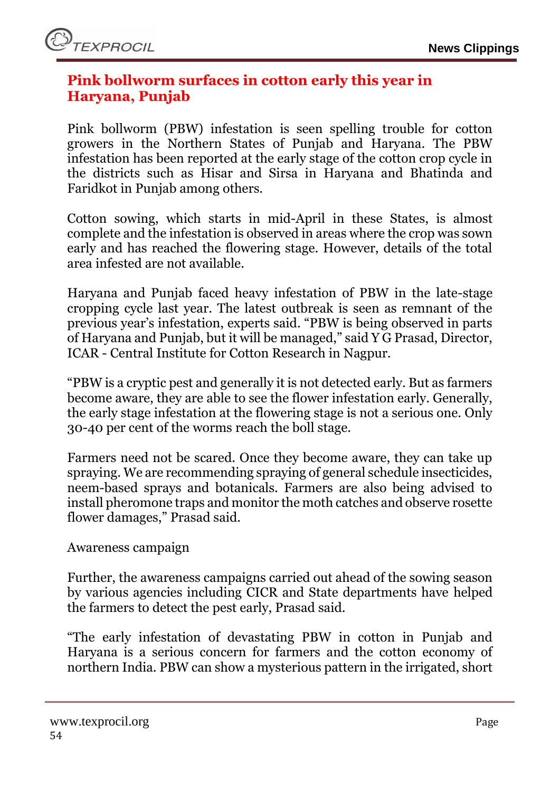# <span id="page-53-0"></span>**Pink bollworm surfaces in cotton early this year in Haryana, Punjab**

Pink bollworm (PBW) infestation is seen spelling trouble for cotton growers in the Northern States of Punjab and Haryana. The PBW infestation has been reported at the early stage of the cotton crop cycle in the districts such as Hisar and Sirsa in Haryana and Bhatinda and Faridkot in Punjab among others.

Cotton sowing, which starts in mid-April in these States, is almost complete and the infestation is observed in areas where the crop was sown early and has reached the flowering stage. However, details of the total area infested are not available.

Haryana and Punjab faced heavy infestation of PBW in the late-stage cropping cycle last year. The latest outbreak is seen as remnant of the previous year's infestation, experts said. "PBW is being observed in parts of Haryana and Punjab, but it will be managed," said Y G Prasad, Director, ICAR - Central Institute for Cotton Research in Nagpur.

"PBW is a cryptic pest and generally it is not detected early. But as farmers become aware, they are able to see the flower infestation early. Generally, the early stage infestation at the flowering stage is not a serious one. Only 30-40 per cent of the worms reach the boll stage.

Farmers need not be scared. Once they become aware, they can take up spraying. We are recommending spraying of general schedule insecticides, neem-based sprays and botanicals. Farmers are also being advised to install pheromone traps and monitor the moth catches and observe rosette flower damages," Prasad said.

### Awareness campaign

Further, the awareness campaigns carried out ahead of the sowing season by various agencies including CICR and State departments have helped the farmers to detect the pest early, Prasad said.

"The early infestation of devastating PBW in cotton in Punjab and Haryana is a serious concern for farmers and the cotton economy of northern India. PBW can show a mysterious pattern in the irrigated, short